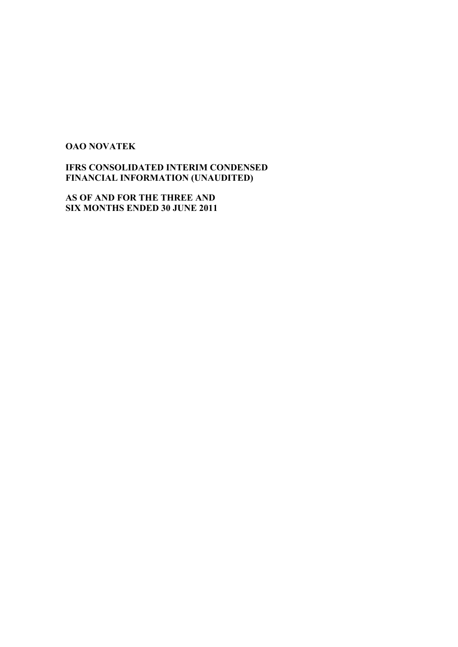# **OAO NOVATEK**

**IFRS CONSOLIDATED INTERIM CONDENSED FINANCIAL INFORMATION (UNAUDITED)** 

**AS OF AND FOR THE THREE AND SIX MONTHS ENDED 30 JUNE 2011**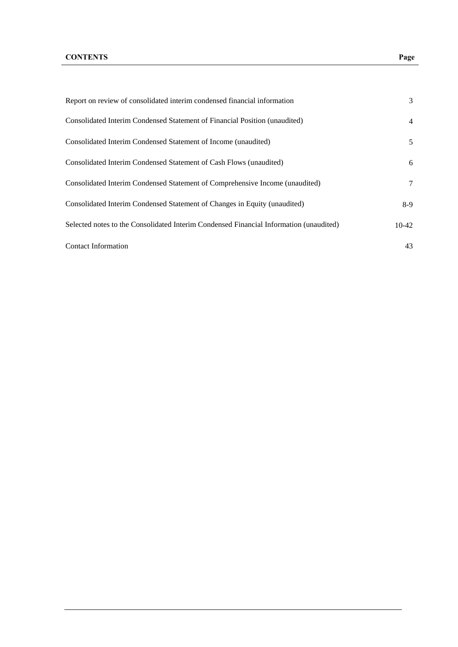| Report on review of consolidated interim condensed financial information               | 3              |
|----------------------------------------------------------------------------------------|----------------|
| Consolidated Interim Condensed Statement of Financial Position (unaudited)             | $\overline{4}$ |
| Consolidated Interim Condensed Statement of Income (unaudited)                         | 5              |
| Consolidated Interim Condensed Statement of Cash Flows (unaudited)                     | 6              |
| Consolidated Interim Condensed Statement of Comprehensive Income (unaudited)           | 7              |
| Consolidated Interim Condensed Statement of Changes in Equity (unaudited)              | $8-9$          |
| Selected notes to the Consolidated Interim Condensed Financial Information (unaudited) | $10-42$        |
| <b>Contact Information</b>                                                             | 43             |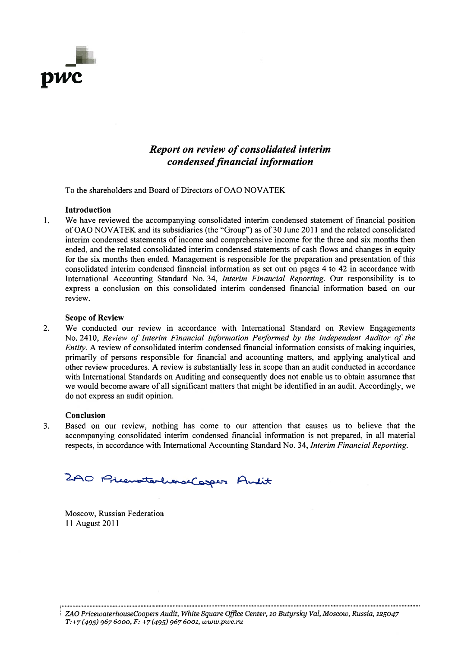

# **Report on review of consolidated interim** condensed financial information

To the shareholders and Board of Directors of OAO NOVATEK

#### **Introduction**

We have reviewed the accompanying consolidated interim condensed statement of financial position  $\mathbf{1}$ . of OAO NOVATEK and its subsidiaries (the "Group") as of 30 June 2011 and the related consolidated interim condensed statements of income and comprehensive income for the three and six months then ended, and the related consolidated interim condensed statements of cash flows and changes in equity for the six months then ended. Management is responsible for the preparation and presentation of this consolidated interim condensed financial information as set out on pages 4 to 42 in accordance with International Accounting Standard No. 34, Interim Financial Reporting. Our responsibility is to express a conclusion on this consolidated interim condensed financial information based on our review.

#### **Scope of Review**

 $2.$ We conducted our review in accordance with International Standard on Review Engagements No. 2410, Review of Interim Financial Information Performed by the Independent Auditor of the *Entity.* A review of consolidated interim condensed financial information consists of making inquiries, primarily of persons responsible for financial and accounting matters, and applying analytical and other review procedures. A review is substantially less in scope than an audit conducted in accordance with International Standards on Auditing and consequently does not enable us to obtain assurance that we would become aware of all significant matters that might be identified in an audit. Accordingly, we do not express an audit opinion.

#### Conclusion

 $3.$ Based on our review, nothing has come to our attention that causes us to believe that the accompanying consolidated interim condensed financial information is not prepared, in all material respects, in accordance with International Accounting Standard No. 34, Interim Financial Reporting.

2AO PricevatorhandCosper Andit

Moscow, Russian Federation 11 August 2011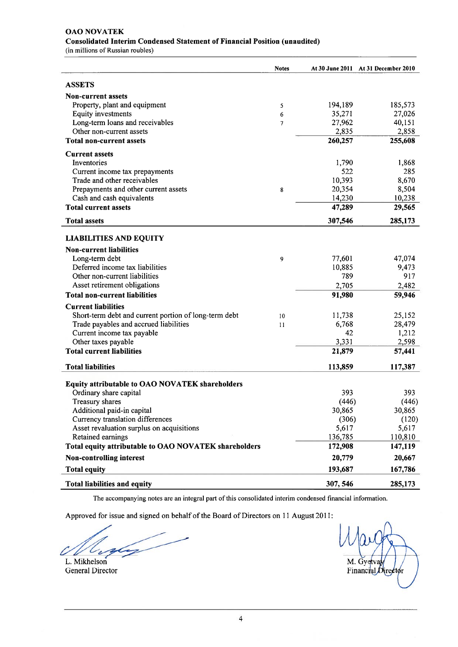# **OAO NOVATEK** Consolidated Interim Condensed Statement of Financial Position (unaudited)

(in millions of Russian roubles)

|                                                       | <b>Notes</b> |          | At 30 June 2011 At 31 December 2010 |
|-------------------------------------------------------|--------------|----------|-------------------------------------|
| <b>ASSETS</b>                                         |              |          |                                     |
| <b>Non-current assets</b>                             |              |          |                                     |
| Property, plant and equipment                         | 5            | 194,189  | 185,573                             |
| <b>Equity investments</b>                             | 6            | 35,271   | 27,026                              |
| Long-term loans and receivables                       | 7            | 27,962   | 40,151                              |
| Other non-current assets                              |              | 2,835    | 2,858                               |
| <b>Total non-current assets</b>                       |              | 260,257  | 255,608                             |
| <b>Current assets</b>                                 |              |          |                                     |
| Inventories                                           |              | 1,790    | 1,868                               |
| Current income tax prepayments                        |              | 522      | 285                                 |
| Trade and other receivables                           |              | 10,393   | 8,670                               |
| Prepayments and other current assets                  | 8            | 20,354   | 8,504                               |
| Cash and cash equivalents                             |              | 14,230   | 10,238                              |
| <b>Total current assets</b>                           |              | 47,289   | 29,565                              |
| <b>Total assets</b>                                   |              | 307,546  | 285,173                             |
| <b>LIABILITIES AND EQUITY</b>                         |              |          |                                     |
| <b>Non-current liabilities</b>                        |              |          |                                     |
| Long-term debt                                        | 9            | 77,601   | 47,074                              |
| Deferred income tax liabilities                       |              | 10,885   | 9,473                               |
| Other non-current liabilities                         |              | 789      | 917                                 |
| Asset retirement obligations                          |              | 2,705    | 2,482                               |
| <b>Total non-current liabilities</b>                  |              | 91,980   | 59,946                              |
| <b>Current liabilities</b>                            |              |          |                                     |
| Short-term debt and current portion of long-term debt | 10           | 11,738   | 25,152                              |
| Trade payables and accrued liabilities                | 11           | 6,768    | 28,479                              |
| Current income tax payable                            |              | 42       | 1,212                               |
| Other taxes payable                                   |              | 3,331    | 2,598                               |
| <b>Total current liabilities</b>                      |              | 21,879   | 57,441                              |
| <b>Total liabilities</b>                              |              | 113,859  | 117,387                             |
| Equity attributable to OAO NOVATEK shareholders       |              |          |                                     |
| Ordinary share capital                                |              | 393      | 393                                 |
| Treasury shares                                       |              | (446)    | (446)                               |
| Additional paid-in capital                            |              | 30,865   | 30,865                              |
| Currency translation differences                      |              | (306)    | (120)                               |
| Asset revaluation surplus on acquisitions             |              | 5,617    | 5,617                               |
| Retained earnings                                     |              | 136,785  | 110,810                             |
| Total equity attributable to OAO NOVATEK shareholders |              | 172,908  | 147,119                             |
| <b>Non-controlling interest</b>                       |              | 20,779   | 20,667                              |
| <b>Total equity</b>                                   |              | 193,687  | 167,786                             |
| <b>Total liabilities and equity</b>                   |              | 307, 546 | 285,173                             |

The accompanying notes are an integral part of this consolidated interim condensed financial information.

Approved for issue and signed on behalf of the Board of Directors on 11 August 2011:

L. Mikhelson **General Director** 

M. Gyetva Financial Director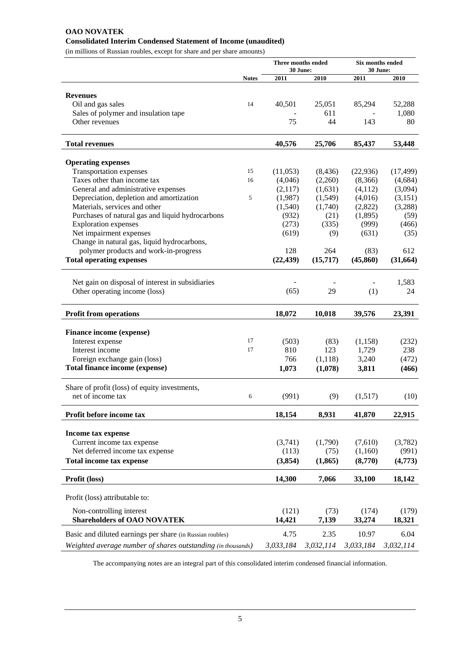# **OAO NOVATEK Consolidated Interim Condensed Statement of Income (unaudited)**

(in millions of Russian roubles, except for share and per share amounts)

|                                                                |              |                 | Three months ended<br>30 June: | <b>Six months ended</b><br>30 June: |                 |  |
|----------------------------------------------------------------|--------------|-----------------|--------------------------------|-------------------------------------|-----------------|--|
|                                                                | <b>Notes</b> | 2011            | 2010                           | 2011                                | 2010            |  |
|                                                                |              |                 |                                |                                     |                 |  |
| <b>Revenues</b>                                                |              |                 |                                |                                     |                 |  |
| Oil and gas sales                                              | 14           | 40,501          | 25,051                         | 85,294                              | 52,288          |  |
| Sales of polymer and insulation tape<br>Other revenues         |              | 75              | 611<br>44                      | 143                                 | 1,080           |  |
|                                                                |              |                 |                                |                                     | 80              |  |
| <b>Total revenues</b>                                          |              | 40,576          | 25,706                         | 85,437                              | 53,448          |  |
| <b>Operating expenses</b>                                      |              |                 |                                |                                     |                 |  |
| Transportation expenses                                        | 15           | (11,053)        | (8, 436)                       | (22, 936)                           | (17, 499)       |  |
| Taxes other than income tax                                    | 16           | (4,046)         | (2,260)                        | (8,366)                             | (4,684)         |  |
| General and administrative expenses                            |              | (2,117)         | (1,631)                        | (4, 112)                            | (3,094)         |  |
| Depreciation, depletion and amortization                       | 5            | (1,987)         | (1,549)                        | (4,016)                             | (3,151)         |  |
| Materials, services and other                                  |              | (1,540)         | (1,740)                        | (2,822)                             | (3,288)         |  |
| Purchases of natural gas and liquid hydrocarbons               |              | (932)           | (21)                           | (1,895)                             | (59)            |  |
| <b>Exploration</b> expenses                                    |              | (273)           | (335)                          | (999)                               | (466)           |  |
| Net impairment expenses                                        |              | (619)           | (9)                            | (631)                               | (35)            |  |
| Change in natural gas, liquid hydrocarbons,                    |              |                 |                                |                                     |                 |  |
| polymer products and work-in-progress                          |              | 128             | 264                            | (83)                                | 612             |  |
| <b>Total operating expenses</b>                                |              | (22, 439)       | (15,717)                       | (45, 860)                           | (31, 664)       |  |
|                                                                |              |                 |                                |                                     |                 |  |
| Net gain on disposal of interest in subsidiaries               |              |                 |                                |                                     | 1,583           |  |
| Other operating income (loss)                                  |              | (65)            | 29                             | (1)                                 | 24              |  |
| <b>Profit from operations</b>                                  |              | 18,072          | 10,018                         | 39,576                              | 23,391          |  |
| <b>Finance income (expense)</b>                                |              |                 |                                |                                     |                 |  |
| Interest expense                                               | 17           | (503)           | (83)                           | (1, 158)                            | (232)           |  |
| Interest income                                                | 17           | 810             | 123                            | 1,729                               | 238             |  |
| Foreign exchange gain (loss)                                   |              | 766             | (1,118)                        | 3,240                               | (472)           |  |
| Total finance income (expense)                                 |              | 1,073           | (1,078)                        | 3,811                               | (466)           |  |
| Share of profit (loss) of equity investments,                  |              |                 |                                |                                     |                 |  |
| net of income tax                                              | 6            | (991)           | (9)                            | (1,517)                             | (10)            |  |
| Profit before income tax                                       |              | 18,154          | 8,931                          | 41,870                              | 22,915          |  |
|                                                                |              |                 |                                |                                     |                 |  |
| <b>Income tax expense</b>                                      |              |                 |                                |                                     |                 |  |
| Current income tax expense                                     |              | (3,741)         | (1,790)                        | (7,610)                             | (3,782)         |  |
| Net deferred income tax expense                                |              | (113)           | (75)                           | (1,160)                             | (991)           |  |
| Total income tax expense                                       |              | (3,854)         | (1, 865)                       | (8,770)                             | (4,773)         |  |
| Profit (loss)                                                  |              | 14,300          | 7,066                          | 33,100                              | 18,142          |  |
| Profit (loss) attributable to:                                 |              |                 |                                |                                     |                 |  |
|                                                                |              |                 |                                |                                     |                 |  |
| Non-controlling interest<br><b>Shareholders of OAO NOVATEK</b> |              | (121)<br>14,421 | (73)<br>7,139                  | (174)<br>33,274                     | (179)<br>18,321 |  |
| Basic and diluted earnings per share (in Russian roubles)      |              | 4.75            | 2.35                           | 10.97                               | 6.04            |  |
|                                                                |              |                 | 3,032,114                      | 3,033,184                           |                 |  |
| Weighted average number of shares outstanding (in thousands)   |              | 3,033,184       |                                |                                     | 3,032,114       |  |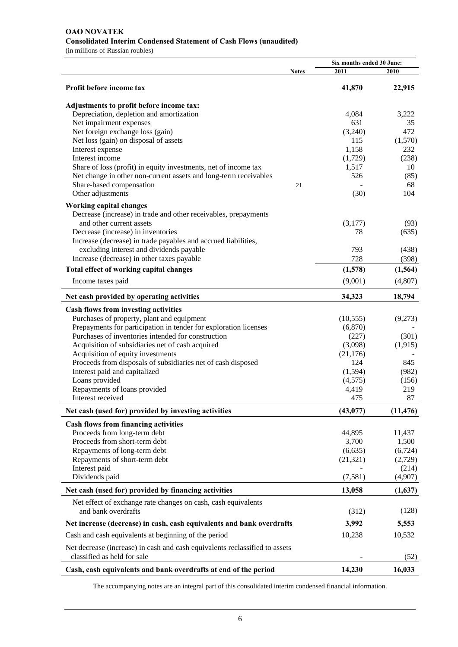# **OAO NOVATEK Consolidated Interim Condensed Statement of Cash Flows (unaudited)**

(in millions of Russian roubles)

|                                                                                      |              | Six months ended 30 June: |           |  |
|--------------------------------------------------------------------------------------|--------------|---------------------------|-----------|--|
|                                                                                      | <b>Notes</b> | 2011                      | 2010      |  |
| Profit before income tax                                                             |              | 41,870                    | 22,915    |  |
| Adjustments to profit before income tax:                                             |              |                           |           |  |
| Depreciation, depletion and amortization                                             |              | 4,084                     | 3,222     |  |
| Net impairment expenses                                                              |              | 631                       | 35        |  |
| Net foreign exchange loss (gain)                                                     |              | (3,240)                   | 472       |  |
| Net loss (gain) on disposal of assets                                                |              | 115                       | (1,570)   |  |
| Interest expense                                                                     |              | 1,158                     | 232       |  |
| Interest income                                                                      |              | (1,729)                   | (238)     |  |
| Share of loss (profit) in equity investments, net of income tax                      |              | 1,517                     | 10        |  |
| Net change in other non-current assets and long-term receivables                     |              | 526                       | (85)      |  |
| Share-based compensation                                                             | 21           |                           | 68        |  |
| Other adjustments                                                                    |              | (30)                      | 104       |  |
| <b>Working capital changes</b>                                                       |              |                           |           |  |
| Decrease (increase) in trade and other receivables, prepayments                      |              |                           |           |  |
| and other current assets                                                             |              | (3,177)                   | (93)      |  |
| Decrease (increase) in inventories                                                   |              | 78                        | (635)     |  |
| Increase (decrease) in trade payables and accrued liabilities,                       |              |                           |           |  |
| excluding interest and dividends payable                                             |              | 793                       | (438)     |  |
| Increase (decrease) in other taxes payable                                           |              | 728                       | (398)     |  |
| Total effect of working capital changes                                              |              | (1,578)                   | (1, 564)  |  |
| Income taxes paid                                                                    |              | (9,001)                   | (4,807)   |  |
| Net cash provided by operating activities                                            |              | 34,323                    | 18,794    |  |
| <b>Cash flows from investing activities</b>                                          |              |                           |           |  |
| Purchases of property, plant and equipment                                           |              | (10, 555)                 | (9,273)   |  |
| Prepayments for participation in tender for exploration licenses                     |              | (6,870)                   |           |  |
| Purchases of inventories intended for construction                                   |              | (227)                     | (301)     |  |
| Acquisition of subsidiaries net of cash acquired                                     |              | (3,098)                   | (1,915)   |  |
| Acquisition of equity investments                                                    |              | (21, 176)                 |           |  |
| Proceeds from disposals of subsidiaries net of cash disposed                         |              | 124                       | 845       |  |
| Interest paid and capitalized                                                        |              | (1,594)                   | (982)     |  |
| Loans provided                                                                       |              | (4,575)                   | (156)     |  |
| Repayments of loans provided                                                         |              | 4,419                     | 219       |  |
| Interest received                                                                    |              | 475                       | 87        |  |
|                                                                                      |              |                           |           |  |
| Net cash (used for) provided by investing activities                                 |              | (43, 077)                 | (11, 476) |  |
| <b>Cash flows from financing activities</b>                                          |              |                           |           |  |
| Proceeds from long-term debt                                                         |              | 44,895                    | 11,437    |  |
| Proceeds from short-term debt                                                        |              | 3,700                     | 1,500     |  |
| Repayments of long-term debt                                                         |              | (6, 635)                  | (6,724)   |  |
| Repayments of short-term debt                                                        |              | (21, 321)                 | (2,729)   |  |
| Interest paid                                                                        |              |                           | (214)     |  |
| Dividends paid                                                                       |              | (7,581)                   | (4,907)   |  |
| Net cash (used for) provided by financing activities                                 |              | 13,058                    | (1,637)   |  |
| Net effect of exchange rate changes on cash, cash equivalents<br>and bank overdrafts |              | (312)                     | (128)     |  |
| Net increase (decrease) in cash, cash equivalents and bank overdrafts                |              | 3,992                     | 5,553     |  |
| Cash and cash equivalents at beginning of the period                                 |              | 10,238                    | 10,532    |  |
| Net decrease (increase) in cash and cash equivalents reclassified to assets          |              |                           |           |  |
| classified as held for sale                                                          |              |                           | (52)      |  |
| Cash, cash equivalents and bank overdrafts at end of the period                      |              | 14,230                    | 16,033    |  |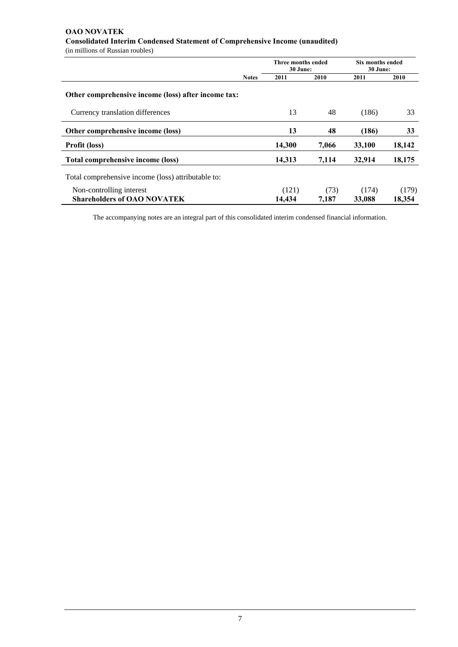# **OAO NOVATEK Consolidated Interim Condensed Statement of Comprehensive Income (unaudited)**

(in millions of Russian roubles)

|                                                                |              | Three months ended<br>30 June: |               | Six months ended<br>30 June: |                 |
|----------------------------------------------------------------|--------------|--------------------------------|---------------|------------------------------|-----------------|
|                                                                | <b>Notes</b> | 2011                           | 2010          | 2011                         | 2010            |
| Other comprehensive income (loss) after income tax:            |              |                                |               |                              |                 |
| Currency translation differences                               |              | 13                             | 48            | (186)                        | 33              |
| Other comprehensive income (loss)                              |              | 13                             | 48            | (186)                        | 33              |
| <b>Profit (loss)</b>                                           |              | 14,300                         | 7,066         | 33,100                       | 18,142          |
| Total comprehensive income (loss)                              |              | 14,313                         | 7,114         | 32,914                       | 18,175          |
| Total comprehensive income (loss) attributable to:             |              |                                |               |                              |                 |
| Non-controlling interest<br><b>Shareholders of OAO NOVATEK</b> |              | (121)<br>14,434                | (73)<br>7.187 | (174)<br>33,088              | (179)<br>18.354 |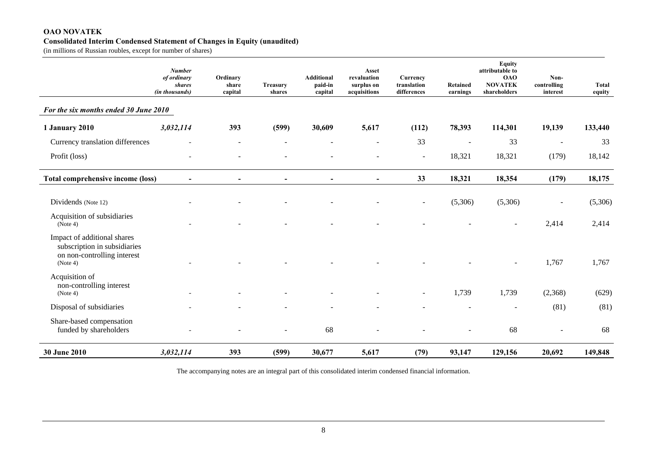#### **OAO NOVATEK Consolidated Interim Condensed Statement of Changes in Equity (unaudited)**

(in millions of Russian roubles, except for number of shares)

|                                                                                                        | <b>Number</b><br>of ordinary<br>shares<br>(in thousands) | Ordinary<br>share<br>capital | Treasury<br>shares           | Additional<br>paid-in<br>capital | Asset<br>revaluation<br>surplus on<br>acquisitions | Currency<br>translation<br>differences | Retained<br>earnings | <b>Equity</b><br>attributable to<br><b>OAO</b><br><b>NOVATEK</b><br>shareholders | Non-<br>controlling<br>interest | Total<br>equity |
|--------------------------------------------------------------------------------------------------------|----------------------------------------------------------|------------------------------|------------------------------|----------------------------------|----------------------------------------------------|----------------------------------------|----------------------|----------------------------------------------------------------------------------|---------------------------------|-----------------|
| For the six months ended 30 June 2010                                                                  |                                                          |                              |                              |                                  |                                                    |                                        |                      |                                                                                  |                                 |                 |
| 1 January 2010                                                                                         | 3,032,114                                                | 393                          | (599)                        | 30,609                           | 5,617                                              | (112)                                  | 78,393               | 114,301                                                                          | 19,139                          | 133,440         |
| Currency translation differences                                                                       |                                                          |                              |                              |                                  |                                                    | 33                                     |                      | 33                                                                               | $\blacksquare$                  | 33              |
| Profit (loss)                                                                                          |                                                          |                              |                              |                                  |                                                    | $\sim$                                 | 18,321               | 18,321                                                                           | (179)                           | 18,142          |
| Total comprehensive income (loss)                                                                      | $\blacksquare$                                           | $\blacksquare$               | $\qquad \qquad \blacksquare$ | $\blacksquare$                   | $\blacksquare$                                     | 33                                     | 18,321               | 18,354                                                                           | (179)                           | 18,175          |
| Dividends (Note 12)                                                                                    |                                                          |                              |                              |                                  |                                                    | $\overline{\phantom{a}}$               | (5,306)              | (5,306)                                                                          |                                 | (5,306)         |
| Acquisition of subsidiaries<br>(Note 4)                                                                |                                                          |                              |                              |                                  |                                                    |                                        |                      |                                                                                  | 2,414                           | 2,414           |
| Impact of additional shares<br>subscription in subsidiaries<br>on non-controlling interest<br>(Note 4) |                                                          |                              |                              |                                  |                                                    |                                        |                      |                                                                                  | 1,767                           | 1,767           |
| Acquisition of<br>non-controlling interest<br>(Note 4)                                                 |                                                          |                              |                              |                                  |                                                    |                                        | 1,739                | 1,739                                                                            | (2,368)                         | (629)           |
| Disposal of subsidiaries                                                                               |                                                          |                              |                              |                                  |                                                    |                                        |                      | $\overline{\phantom{a}}$                                                         | (81)                            | (81)            |
| Share-based compensation<br>funded by shareholders                                                     |                                                          |                              |                              | 68                               |                                                    |                                        |                      | 68                                                                               |                                 | 68              |
| 30 June 2010                                                                                           | 3,032,114                                                | 393                          | (599)                        | 30,677                           | 5,617                                              | (79)                                   | 93,147               | 129,156                                                                          | 20,692                          | 149,848         |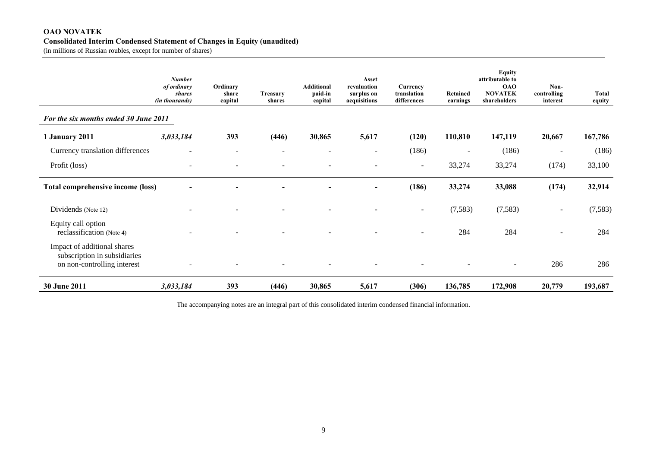### **OAO NOVATEK Consolidated Interim Condensed Statement of Changes in Equity (unaudited)**

(in millions of Russian roubles, except for number of shares)

|                                                                                            | <b>Number</b><br>of ordinary<br><b>shares</b><br>(in thousands) | Ordinary<br>share<br>capital | <b>Treasury</b><br>shares | <b>Additional</b><br>paid-in<br>capital | Asset<br>revaluation<br>surplus on<br>acquisitions | Currency<br>translation<br>differences | Retained<br>earnings | <b>Equity</b><br>attributable to<br><b>OAO</b><br><b>NOVATEK</b><br>shareholders | Non-<br>controlling<br>interest | <b>Total</b><br>equity |
|--------------------------------------------------------------------------------------------|-----------------------------------------------------------------|------------------------------|---------------------------|-----------------------------------------|----------------------------------------------------|----------------------------------------|----------------------|----------------------------------------------------------------------------------|---------------------------------|------------------------|
| For the six months ended 30 June 2011                                                      |                                                                 |                              |                           |                                         |                                                    |                                        |                      |                                                                                  |                                 |                        |
| 1 January 2011                                                                             | 3,033,184                                                       | 393                          | (446)                     | 30,865                                  | 5,617                                              | (120)                                  | 110,810              | 147,119                                                                          | 20,667                          | 167,786                |
| Currency translation differences                                                           |                                                                 |                              |                           |                                         | Ξ.                                                 | (186)                                  |                      | (186)                                                                            |                                 | (186)                  |
| Profit (loss)                                                                              |                                                                 |                              |                           |                                         |                                                    | $\sim$                                 | 33,274               | 33,274                                                                           | (174)                           | 33,100                 |
| <b>Total comprehensive income (loss)</b>                                                   | $\overline{\phantom{a}}$                                        | $\blacksquare$               | $\overline{\phantom{a}}$  | $\overline{\phantom{a}}$                | $\blacksquare$                                     | (186)                                  | 33,274               | 33,088                                                                           | (174)                           | 32,914                 |
| Dividends (Note 12)                                                                        |                                                                 |                              |                           |                                         |                                                    | $\overline{\phantom{a}}$               | (7,583)              | (7,583)                                                                          | $\overline{\phantom{a}}$        | (7,583)                |
| Equity call option<br>reclassification (Note 4)                                            |                                                                 |                              |                           |                                         |                                                    |                                        | 284                  | 284                                                                              |                                 | 284                    |
| Impact of additional shares<br>subscription in subsidiaries<br>on non-controlling interest |                                                                 |                              |                           |                                         |                                                    |                                        |                      |                                                                                  | 286                             | 286                    |
| 30 June 2011                                                                               | 3,033,184                                                       | 393                          | (446)                     | 30,865                                  | 5,617                                              | (306)                                  | 136,785              | 172,908                                                                          | 20,779                          | 193,687                |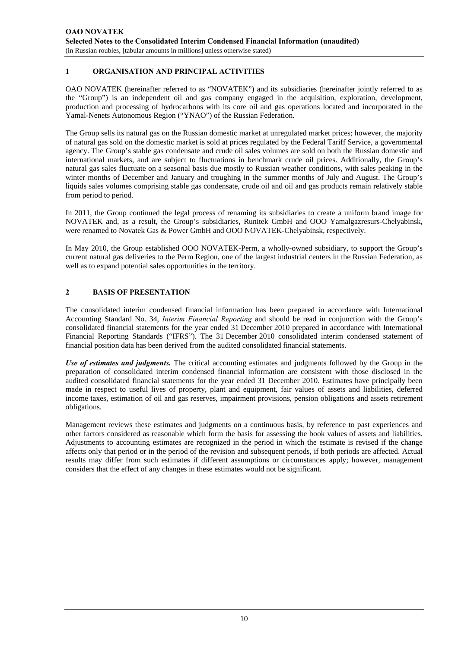# **1 ORGANISATION AND PRINCIPAL ACTIVITIES**

OAO NOVATEK (hereinafter referred to as "NOVATEK") and its subsidiaries (hereinafter jointly referred to as the "Group") is an independent oil and gas company engaged in the acquisition, exploration, development, production and processing of hydrocarbons with its core oil and gas operations located and incorporated in the Yamal-Nenets Autonomous Region ("YNAO") of the Russian Federation.

The Group sells its natural gas on the Russian domestic market at unregulated market prices; however, the majority of natural gas sold on the domestic market is sold at prices regulated by the Federal Tariff Service, a governmental agency. The Group's stable gas condensate and crude oil sales volumes are sold on both the Russian domestic and international markets, and are subject to fluctuations in benchmark crude oil prices. Additionally, the Group's natural gas sales fluctuate on a seasonal basis due mostly to Russian weather conditions, with sales peaking in the winter months of December and January and troughing in the summer months of July and August. The Group's liquids sales volumes comprising stable gas condensate, crude oil and oil and gas products remain relatively stable from period to period.

In 2011, the Group continued the legal process of renaming its subsidiaries to create a uniform brand image for NOVATEK and, as a result, the Group's subsidiaries, Runitek GmbH and OOO Yamalgazresurs-Chelyabinsk, were renamed to Novatek Gas & Power GmbH and OOO NOVATEK-Chelyabinsk, respectively.

In May 2010, the Group established OOO NOVATEK-Perm, a wholly-owned subsidiary, to support the Group's current natural gas deliveries to the Perm Region, one of the largest industrial centers in the Russian Federation, as well as to expand potential sales opportunities in the territory.

# **2 BASIS OF PRESENTATION**

The consolidated interim condensed financial information has been prepared in accordance with International Accounting Standard No. 34, *Interim Financial Reporting* and should be read in conjunction with the Group's consolidated financial statements for the year ended 31 December 2010 prepared in accordance with International Financial Reporting Standards ("IFRS"). The 31 December 2010 consolidated interim condensed statement of financial position data has been derived from the audited consolidated financial statements.

*Use of estimates and judgments.* The critical accounting estimates and judgments followed by the Group in the preparation of consolidated interim condensed financial information are consistent with those disclosed in the audited consolidated financial statements for the year ended 31 December 2010. Estimates have principally been made in respect to useful lives of property, plant and equipment, fair values of assets and liabilities, deferred income taxes, estimation of oil and gas reserves, impairment provisions, pension obligations and assets retirement obligations.

Management reviews these estimates and judgments on a continuous basis, by reference to past experiences and other factors considered as reasonable which form the basis for assessing the book values of assets and liabilities. Adjustments to accounting estimates are recognized in the period in which the estimate is revised if the change affects only that period or in the period of the revision and subsequent periods, if both periods are affected. Actual results may differ from such estimates if different assumptions or circumstances apply; however, management considers that the effect of any changes in these estimates would not be significant.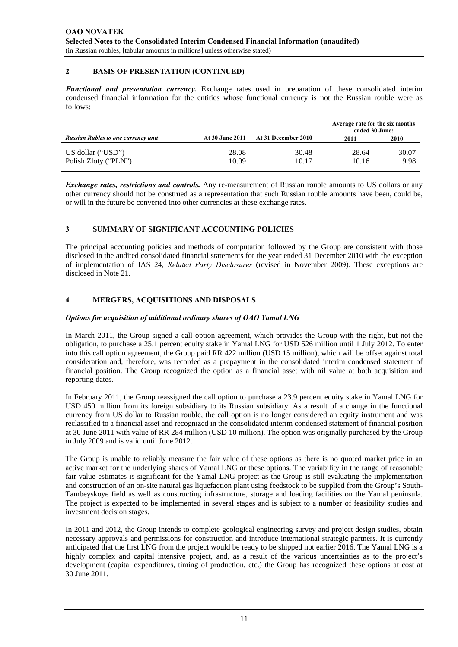### **2 BASIS OF PRESENTATION (CONTINUED)**

*Functional and presentation currency.* Exchange rates used in preparation of these consolidated interim condensed financial information for the entities whose functional currency is not the Russian rouble were as follows:

|                                            |                        |                     | Average rate for the six months<br>ended 30 June: |               |  |
|--------------------------------------------|------------------------|---------------------|---------------------------------------------------|---------------|--|
| <b>Russian Rubles to one currency unit</b> | <b>At 30 June 2011</b> | At 31 December 2010 | 2011                                              | 2010          |  |
| US dollar ("USD")<br>Polish Zloty ("PLN")  | 28.08<br>10.09         | 30.48<br>10.17      | 28.64<br>10.16                                    | 30.07<br>9.98 |  |

*Exchange rates, restrictions and controls.* Any re-measurement of Russian rouble amounts to US dollars or any other currency should not be construed as a representation that such Russian rouble amounts have been, could be, or will in the future be converted into other currencies at these exchange rates.

#### **3 SUMMARY OF SIGNIFICANT ACCOUNTING POLICIES**

The principal accounting policies and methods of computation followed by the Group are consistent with those disclosed in the audited consolidated financial statements for the year ended 31 December 2010 with the exception of implementation of IAS 24, *Related Party Disclosures* (revised in November 2009). These exceptions are disclosed in Note 21.

#### **4 MERGERS, ACQUISITIONS AND DISPOSALS**

#### *Options for acquisition of additional ordinary shares of OAO Yamal LNG*

In March 2011, the Group signed a call option agreement, which provides the Group with the right, but not the obligation, to purchase a 25.1 percent equity stake in Yamal LNG for USD 526 million until 1 July 2012. To enter into this call option agreement, the Group paid RR 422 million (USD 15 million), which will be offset against total consideration and, therefore, was recorded as a prepayment in the consolidated interim condensed statement of financial position. The Group recognized the option as a financial asset with nil value at both acquisition and reporting dates.

In February 2011, the Group reassigned the call option to purchase a 23.9 percent equity stake in Yamal LNG for USD 450 million from its foreign subsidiary to its Russian subsidiary. As a result of a change in the functional currency from US dollar to Russian rouble, the call option is no longer considered an equity instrument and was reclassified to a financial asset and recognized in the consolidated interim condensed statement of financial position at 30 June 2011 with value of RR 284 million (USD 10 million). The option was originally purchased by the Group in July 2009 and is valid until June 2012.

The Group is unable to reliably measure the fair value of these options as there is no quoted market price in an active market for the underlying shares of Yamal LNG or these options. The variability in the range of reasonable fair value estimates is significant for the Yamal LNG project as the Group is still evaluating the implementation and construction of an on-site natural gas liquefaction plant using feedstock to be supplied from the Group's South-Tambeyskoye field as well as constructing infrastructure, storage and loading facilities on the Yamal peninsula. The project is expected to be implemented in several stages and is subject to a number of feasibility studies and investment decision stages.

In 2011 and 2012, the Group intends to complete geological engineering survey and project design studies, obtain necessary approvals and permissions for construction and introduce international strategic partners. It is currently anticipated that the first LNG from the project would be ready to be shipped not earlier 2016. The Yamal LNG is a highly complex and capital intensive project, and, as a result of the various uncertainties as to the project's development (capital expenditures, timing of production, etc.) the Group has recognized these options at cost at 30 June 2011.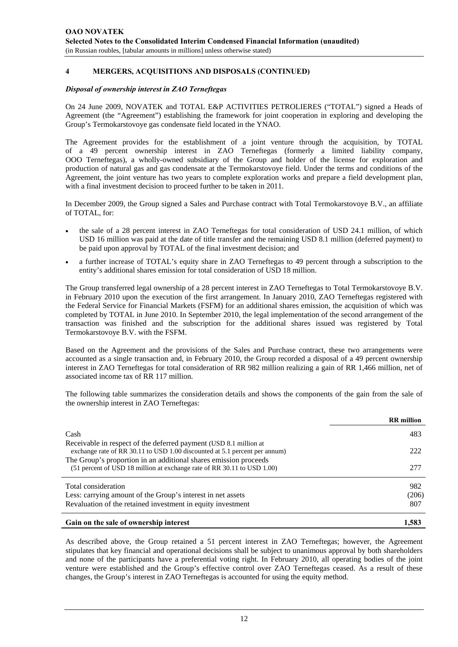# **4 MERGERS, ACQUISITIONS AND DISPOSALS (CONTINUED)**

#### *Disposal of ownership interest in ZAO Terneftegas*

On 24 June 2009, NOVATEK and TOTAL E&P ACTIVITIES PETROLIERES ("TOTAL") signed a Heads of Agreement (the "Agreement") establishing the framework for joint cooperation in exploring and developing the Group's Termokarstovoye gas condensate field located in the YNAO.

The Agreement provides for the establishment of a joint venture through the acquisition, by TOTAL of a 49 percent ownership interest in ZAO Terneftegas (formerly a limited liability company, OOO Terneftegas), a wholly-owned subsidiary of the Group and holder of the license for exploration and production of natural gas and gas condensate at the Termokarstovoye field. Under the terms and conditions of the Agreement, the joint venture has two years to complete exploration works and prepare a field development plan, with a final investment decision to proceed further to be taken in 2011.

In December 2009, the Group signed a Sales and Purchase contract with Total Termokarstovoye B.V., an affiliate of TOTAL, for:

- the sale of a 28 percent interest in ZAO Terneftegas for total consideration of USD 24.1 million, of which USD 16 million was paid at the date of title transfer and the remaining USD 8.1 million (deferred payment) to be paid upon approval by TOTAL of the final investment decision; and
- a further increase of TOTAL's equity share in ZAO Terneftegas to 49 percent through a subscription to the entity's additional shares emission for total consideration of USD 18 million.

The Group transferred legal ownership of a 28 percent interest in ZAO Terneftegas to Total Termokarstovoye B.V. in February 2010 upon the execution of the first arrangement. In January 2010, ZAO Terneftegas registered with the Federal Service for Financial Markets (FSFM) for an additional shares emission, the acquisition of which was completed by TOTAL in June 2010. In September 2010, the legal implementation of the second arrangement of the transaction was finished and the subscription for the additional shares issued was registered by Total Termokarstovoye B.V. with the FSFM.

Based on the Agreement and the provisions of the Sales and Purchase contract, these two arrangements were accounted as a single transaction and, in February 2010, the Group recorded a disposal of a 49 percent ownership interest in ZAO Terneftegas for total consideration of RR 982 million realizing a gain of RR 1,466 million, net of associated income tax of RR 117 million.

The following table summarizes the consideration details and shows the components of the gain from the sale of the ownership interest in ZAO Terneftegas:

|                                                                                                                                                 | <b>RR</b> million |
|-------------------------------------------------------------------------------------------------------------------------------------------------|-------------------|
| Cash                                                                                                                                            | 483               |
| Receivable in respect of the deferred payment (USD 8.1 million at<br>exchange rate of RR 30.11 to USD 1.00 discounted at 5.1 percent per annum) | 222               |
| The Group's proportion in an additional shares emission proceeds<br>(51 percent of USD 18 million at exchange rate of RR 30.11 to USD 1.00)     | 277               |
| Total consideration                                                                                                                             | 982               |
| Less: carrying amount of the Group's interest in net assets                                                                                     | (206)             |
| Revaluation of the retained investment in equity investment                                                                                     | 807               |
| Gain on the sale of ownership interest                                                                                                          | 1,583             |

As described above, the Group retained a 51 percent interest in ZAO Terneftegas; however, the Agreement stipulates that key financial and operational decisions shall be subject to unanimous approval by both shareholders and none of the participants have a preferential voting right. In February 2010, all operating bodies of the joint venture were established and the Group's effective control over ZAO Terneftegas ceased. As a result of these changes, the Group's interest in ZAO Terneftegas is accounted for using the equity method.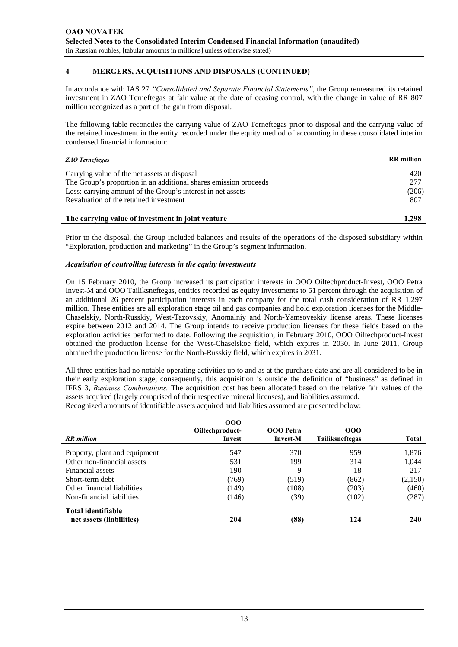# **4 MERGERS, ACQUISITIONS AND DISPOSALS (CONTINUED)**

In accordance with IAS 27 *"Consolidated and Separate Financial Statements"*, the Group remeasured its retained investment in ZAO Terneftegas at fair value at the date of ceasing control, with the change in value of RR 807 million recognized as a part of the gain from disposal.

The following table reconciles the carrying value of ZAO Terneftegas prior to disposal and the carrying value of the retained investment in the entity recorded under the equity method of accounting in these consolidated interim condensed financial information:

|  | <b>ZAO</b> Terneftegas |
|--|------------------------|
|--|------------------------|

| <b>ZAO</b> Terneftegas                                           | <b>RR</b> million |
|------------------------------------------------------------------|-------------------|
| Carrying value of the net assets at disposal                     | 420               |
| The Group's proportion in an additional shares emission proceeds | 277               |
| Less: carrying amount of the Group's interest in net assets      | (206)             |
| Revaluation of the retained investment                           | 807               |
|                                                                  |                   |

### **The carrying value of investment in joint venture 1,298**

Prior to the disposal, the Group included balances and results of the operations of the disposed subsidiary within "Exploration, production and marketing" in the Group's segment information.

#### *Acquisition of controlling interests in the equity investments*

On 15 February 2010, the Group increased its participation interests in OOO Oiltechproduct-Invest, OOO Petra Invest-M and OOO Tailiksneftegas, entities recorded as equity investments to 51 percent through the acquisition of an additional 26 percent participation interests in each company for the total cash consideration of RR 1,297 million. These entities are all exploration stage oil and gas companies and hold exploration licenses for the Middle-Chaselskiy, North-Russkiy, West-Tazovskiy, Anomalniy and North-Yamsoveskiy license areas. These licenses expire between 2012 and 2014. The Group intends to receive production licenses for these fields based on the exploration activities performed to date. Following the acquisition, in February 2010, OOO Oiltechproduct-Invest obtained the production license for the West-Chaselskoe field, which expires in 2030. In June 2011, Group obtained the production license for the North-Russkiy field, which expires in 2031.

All three entities had no notable operating activities up to and as at the purchase date and are all considered to be in their early exploration stage; consequently, this acquisition is outside the definition of "business" as defined in IFRS 3, *Business Combinations.* The acquisition cost has been allocated based on the relative fair values of the assets acquired (largely comprised of their respective mineral licenses), and liabilities assumed. Recognized amounts of identifiable assets acquired and liabilities assumed are presented below:

|                               | 000<br>Oiltechproduct- | <b>OOO</b> Petra | 000             |         |
|-------------------------------|------------------------|------------------|-----------------|---------|
| <b>RR</b> million             | Invest                 | <b>Invest-M</b>  | Tailiksneftegas | Total   |
| Property, plant and equipment | 547                    | 370              | 959             | 1,876   |
| Other non-financial assets    | 531                    | 199              | 314             | 1,044   |
| Financial assets              | 190                    | 9                | 18              | 217     |
| Short-term debt               | (769)                  | (519)            | (862)           | (2,150) |
| Other financial liabilities   | (149)                  | (108)            | (203)           | (460)   |
| Non-financial liabilities     | (146)                  | (39)             | (102)           | (287)   |
| Total identifiable            |                        |                  |                 |         |
| net assets (liabilities)      | 204                    | (88)             | 124             | 240     |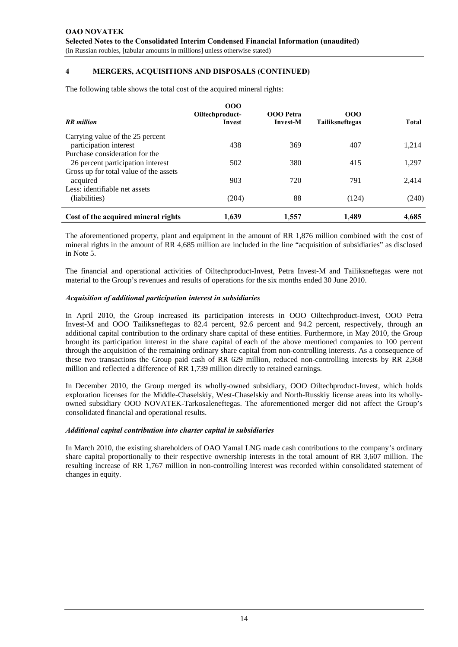# **4 MERGERS, ACQUISITIONS AND DISPOSALS (CONTINUED)**

The following table shows the total cost of the acquired mineral rights:

| <b>RR</b> million                                                   | 000<br>Oiltechproduct-<br>Invest | <b>OOO</b> Petra<br><b>Invest-M</b> | 000<br><b>Tailiksneftegas</b> | <b>Total</b> |
|---------------------------------------------------------------------|----------------------------------|-------------------------------------|-------------------------------|--------------|
| Carrying value of the 25 percent<br>participation interest          | 438                              | 369                                 | 407                           | 1,214        |
| Purchase consideration for the<br>26 percent participation interest | 502                              | 380                                 | 415                           | 1,297        |
| Gross up for total value of the assets<br>acquired                  | 903                              | 720                                 | 791                           | 2,414        |
| Less: identifiable net assets<br>(liabilities)                      | (204)                            | 88                                  | (124)                         | (240)        |
| Cost of the acquired mineral rights                                 | 1.639                            | 1,557                               | 1.489                         | 4,685        |

The aforementioned property, plant and equipment in the amount of RR 1,876 million combined with the cost of mineral rights in the amount of RR 4,685 million are included in the line "acquisition of subsidiaries" as disclosed in Note 5.

The financial and operational activities of Oiltechproduct-Invest, Petra Invest-M and Tailiksneftegas were not material to the Group's revenues and results of operations for the six months ended 30 June 2010.

#### *Acquisition of additional participation interest in subsidiaries*

In April 2010, the Group increased its participation interests in OOO Oiltechproduct-Invest, OOO Petra Invest-M and OOO Tailiksneftegas to 82.4 percent, 92.6 percent and 94.2 percent, respectively, through an additional capital contribution to the ordinary share capital of these entities. Furthermore, in May 2010, the Group brought its participation interest in the share capital of each of the above mentioned companies to 100 percent through the acquisition of the remaining ordinary share capital from non-controlling interests. As a consequence of these two transactions the Group paid cash of RR 629 million, reduced non-controlling interests by RR 2,368 million and reflected a difference of RR 1,739 million directly to retained earnings.

In December 2010, the Group merged its wholly-owned subsidiary, OOO Oiltechproduct-Invest, which holds exploration licenses for the Middle-Chaselskiy, West-Chaselskiy and North-Russkiy license areas into its whollyowned subsidiary OOO NOVATEK-Tarkosaleneftegas. The aforementioned merger did not affect the Group's consolidated financial and operational results.

#### *Additional capital contribution into charter capital in subsidiaries*

In March 2010, the existing shareholders of OAO Yamal LNG made cash contributions to the company's ordinary share capital proportionally to their respective ownership interests in the total amount of RR 3,607 million. The resulting increase of RR 1,767 million in non-controlling interest was recorded within consolidated statement of changes in equity.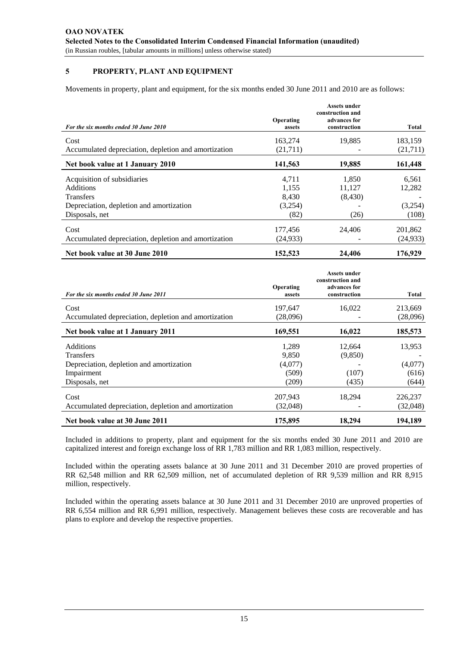# **5 PROPERTY, PLANT AND EQUIPMENT**

Movements in property, plant and equipment, for the six months ended 30 June 2011 and 2010 are as follows:

|                                                      | Operating | Assets under<br>construction and<br>advances for |           |
|------------------------------------------------------|-----------|--------------------------------------------------|-----------|
| For the six months ended 30 June 2010                | assets    | construction                                     | Total     |
| Cost                                                 | 163,274   | 19.885                                           | 183,159   |
| Accumulated depreciation, depletion and amortization | (21,711)  |                                                  | (21,711)  |
| Net book value at 1 January 2010                     | 141,563   | 19,885                                           | 161,448   |
| Acquisition of subsidiaries                          | 4.711     | 1,850                                            | 6,561     |
| <b>Additions</b>                                     | 1,155     | 11,127                                           | 12,282    |
| <b>Transfers</b>                                     | 8,430     | (8,430)                                          |           |
| Depreciation, depletion and amortization             | (3,254)   |                                                  | (3,254)   |
| Disposals, net                                       | (82)      | (26)                                             | (108)     |
| Cost                                                 | 177,456   | 24,406                                           | 201,862   |
| Accumulated depreciation, depletion and amortization | (24, 933) |                                                  | (24, 933) |
| Net book value at 30 June 2010                       | 152,523   | 24,406                                           | 176,929   |

| For the six months ended 30 June 2011                | Operating<br>assets | Assets under<br>construction and<br>advances for<br>construction | Total    |
|------------------------------------------------------|---------------------|------------------------------------------------------------------|----------|
|                                                      |                     |                                                                  |          |
| Cost                                                 | 197,647             | 16.022                                                           | 213,669  |
| Accumulated depreciation, depletion and amortization | (28,096)            |                                                                  | (28,096) |
| Net book value at 1 January 2011                     | 169,551             | 16,022                                                           | 185,573  |
| <b>Additions</b>                                     | 1.289               | 12.664                                                           | 13,953   |
| <b>Transfers</b>                                     | 9,850               | (9,850)                                                          |          |
| Depreciation, depletion and amortization             | (4,077)             |                                                                  | (4,077)  |
| Impairment                                           | (509)               | (107)                                                            | (616)    |
| Disposals, net                                       | (209)               | (435)                                                            | (644)    |
| Cost                                                 | 207,943             | 18,294                                                           | 226,237  |
| Accumulated depreciation, depletion and amortization | (32,048)            |                                                                  | (32,048) |
| Net book value at 30 June 2011                       | 175,895             | 18.294                                                           | 194.189  |

Included in additions to property, plant and equipment for the six months ended 30 June 2011 and 2010 are capitalized interest and foreign exchange loss of RR 1,783 million and RR 1,083 million, respectively.

Included within the operating assets balance at 30 June 2011 and 31 December 2010 are proved properties of RR 62,548 million and RR 62,509 million, net of accumulated depletion of RR 9,539 million and RR 8,915 million, respectively.

Included within the operating assets balance at 30 June 2011 and 31 December 2010 are unproved properties of RR 6,554 million and RR 6,991 million, respectively. Management believes these costs are recoverable and has plans to explore and develop the respective properties.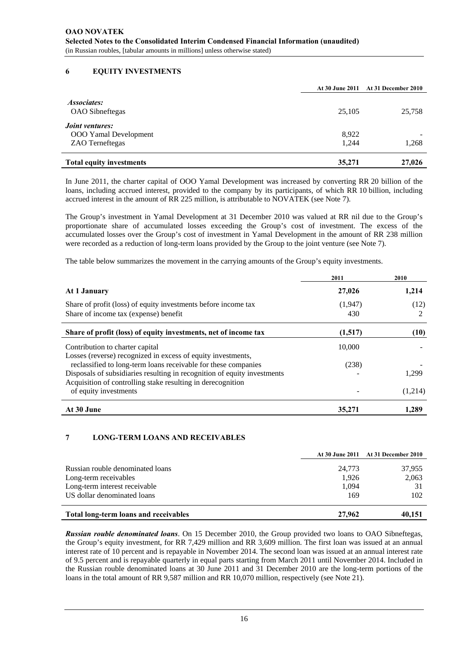# **6 EQUITY INVESTMENTS**

|                                 | At 30 June 2011 | <b>At 31 December 2010</b> |
|---------------------------------|-----------------|----------------------------|
| <i>Associates:</i>              |                 |                            |
| <b>OAO</b> Sibneftegas          | 25,105          | 25,758                     |
| <i>Joint ventures:</i>          |                 |                            |
| <b>OOO</b> Yamal Development    | 8,922           |                            |
| ZAO Terneftegas                 | 1,244           | 1,268                      |
| <b>Total equity investments</b> | 35,271          | 27,026                     |

In June 2011, the charter capital of OOO Yamal Development was increased by converting RR 20 billion of the loans, including accrued interest, provided to the company by its participants, of which RR 10 billion, including accrued interest in the amount of RR 225 million, is attributable to NOVATEK (see Note 7).

The Group's investment in Yamal Development at 31 December 2010 was valued at RR nil due to the Group's proportionate share of accumulated losses exceeding the Group's cost of investment. The excess of the accumulated losses over the Group's cost of investment in Yamal Development in the amount of RR 238 million were recorded as a reduction of long-term loans provided by the Group to the joint venture (see Note 7).

The table below summarizes the movement in the carrying amounts of the Group's equity investments.

|                                                                                                                                         | 2011    | 2010    |
|-----------------------------------------------------------------------------------------------------------------------------------------|---------|---------|
| At 1 January                                                                                                                            | 27,026  | 1,214   |
| Share of profit (loss) of equity investments before income tax                                                                          | (1,947) | (12)    |
| Share of income tax (expense) benefit                                                                                                   | 430     | 2       |
| Share of profit (loss) of equity investments, net of income tax                                                                         | (1,517) | (10)    |
| Contribution to charter capital                                                                                                         | 10,000  |         |
| Losses (reverse) recognized in excess of equity investments,<br>reclassified to long-term loans receivable for these companies          | (238)   |         |
| Disposals of subsidiaries resulting in recognition of equity investments<br>Acquisition of controlling stake resulting in derecognition |         | 1.299   |
| of equity investments                                                                                                                   |         | (1,214) |
| At 30 June                                                                                                                              | 35,271  | 1,289   |

### **7 LONG-TERM LOANS AND RECEIVABLES**

|                                       |        | At 30 June 2011 At 31 December 2010 |
|---------------------------------------|--------|-------------------------------------|
| Russian rouble denominated loans      | 24,773 | 37.955                              |
| Long-term receivables                 | 1.926  | 2,063                               |
| Long-term interest receivable         | 1.094  | 31                                  |
| US dollar denominated loans           | 169    | 102                                 |
| Total long-term loans and receivables | 27,962 | 40.151                              |

*Russian rouble denominated loans*. On 15 December 2010, the Group provided two loans to OAO Sibneftegas, the Group's equity investment, for RR 7,429 million and RR 3,609 million. The first loan was issued at an annual interest rate of 10 percent and is repayable in November 2014. The second loan was issued at an annual interest rate of 9.5 percent and is repayable quarterly in equal parts starting from March 2011 until November 2014. Included in the Russian rouble denominated loans at 30 June 2011 and 31 December 2010 are the long-term portions of the loans in the total amount of RR 9,587 million and RR 10,070 million, respectively (see Note 21).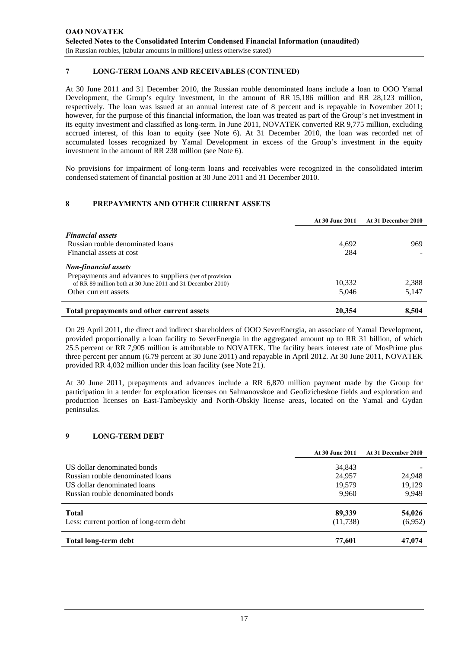# **7 LONG-TERM LOANS AND RECEIVABLES (CONTINUED)**

At 30 June 2011 and 31 December 2010, the Russian rouble denominated loans include a loan to OOO Yamal Development, the Group's equity investment, in the amount of RR 15,186 million and RR 28,123 million, respectively. The loan was issued at an annual interest rate of 8 percent and is repayable in November 2011; however, for the purpose of this financial information, the loan was treated as part of the Group's net investment in its equity investment and classified as long-term. In June 2011, NOVATEK converted RR 9,775 million, excluding accrued interest, of this loan to equity (see Note 6). At 31 December 2010, the loan was recorded net of accumulated losses recognized by Yamal Development in excess of the Group's investment in the equity investment in the amount of RR 238 million (see Note 6).

No provisions for impairment of long-term loans and receivables were recognized in the consolidated interim condensed statement of financial position at 30 June 2011 and 31 December 2010.

# **8 PREPAYMENTS AND OTHER CURRENT ASSETS**

|                                                                                        | At 30 June 2011 | At 31 December 2010 |
|----------------------------------------------------------------------------------------|-----------------|---------------------|
| <b>Financial assets</b><br>Russian rouble denominated loans                            | 4,692           | 969                 |
| Financial assets at cost                                                               | 284             |                     |
| <b>Non-financial assets</b><br>Prepayments and advances to suppliers (net of provision |                 |                     |
| of RR 89 million both at 30 June 2011 and 31 December 2010)                            | 10,332          | 2,388               |
| Other current assets                                                                   | 5,046           | 5.147               |
| Total prepayments and other current assets                                             | 20,354          | 8.504               |

On 29 April 2011, the direct and indirect shareholders of OOO SeverEnergia, an associate of Yamal Development, provided proportionally a loan facility to SeverEnergia in the aggregated amount up to RR 31 billion, of which 25.5 percent or RR 7,905 million is attributable to NOVATEK. The facility bears interest rate of MosPrime plus three percent per annum (6.79 percent at 30 June 2011) and repayable in April 2012. At 30 June 2011, NOVATEK provided RR 4,032 million under this loan facility (see Note 21).

At 30 June 2011, prepayments and advances include a RR 6,870 million payment made by the Group for participation in a tender for exploration licenses on Salmanovskoe and Geofizicheskoe fields and exploration and production licenses on East-Tambeyskiy and North-Obskiy license areas, located on the Yamal and Gydan peninsulas.

### **9 LONG-TERM DEBT**

|                                                                 | At 30 June 2011  | At 31 December 2010 |
|-----------------------------------------------------------------|------------------|---------------------|
| US dollar denominated bonds<br>Russian rouble denominated loans | 34,843<br>24,957 | 24,948              |
| US dollar denominated loans                                     | 19,579           | 19,129              |
| Russian rouble denominated bonds                                | 9.960            | 9.949               |
| <b>Total</b>                                                    | 89,339           | 54,026              |
| Less: current portion of long-term debt                         | (11,738)         | (6,952)             |
| Total long-term debt                                            | 77.601           | 47,074              |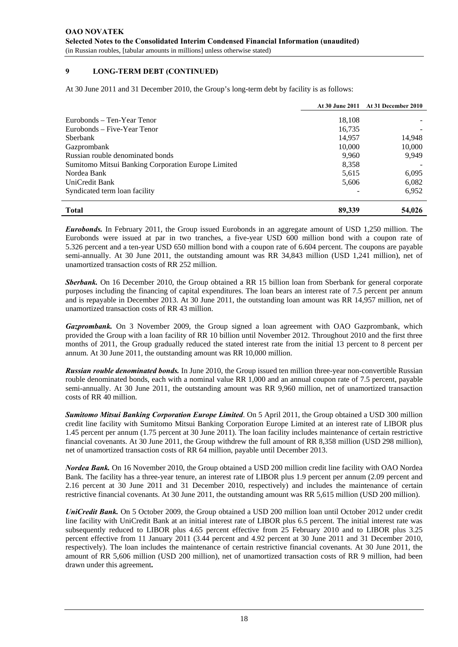### **9 LONG-TERM DEBT (CONTINUED)**

At 30 June 2011 and 31 December 2010, the Group's long-term debt by facility is as follows:

|                                                    |        | At 30 June 2011 At 31 December 2010 |
|----------------------------------------------------|--------|-------------------------------------|
| Eurobonds – Ten-Year Tenor                         | 18.108 |                                     |
| Eurobonds – Five-Year Tenor                        | 16.735 |                                     |
| <b>S</b> berbank                                   | 14.957 | 14,948                              |
| Gazprombank                                        | 10,000 | 10,000                              |
| Russian rouble denominated bonds                   | 9.960  | 9.949                               |
| Sumitomo Mitsui Banking Corporation Europe Limited | 8.358  |                                     |
| Nordea Bank                                        | 5,615  | 6,095                               |
| UniCredit Bank                                     | 5,606  | 6,082                               |
| Syndicated term loan facility                      |        | 6,952                               |
| <b>Total</b>                                       | 89,339 | 54,026                              |

*Eurobonds.* In February 2011, the Group issued Eurobonds in an aggregate amount of USD 1,250 million. The Eurobonds were issued at par in two tranches, a five-year USD 600 million bond with a coupon rate of 5.326 percent and a ten-year USD 650 million bond with a coupon rate of 6.604 percent. The coupons are payable semi-annually. At 30 June 2011, the outstanding amount was RR 34,843 million (USD 1,241 million), net of unamortized transaction costs of RR 252 million.

*Sberbank.* On 16 December 2010, the Group obtained a RR 15 billion loan from Sberbank for general corporate purposes including the financing of capital expenditures. The loan bears an interest rate of 7.5 percent per annum and is repayable in December 2013. At 30 June 2011, the outstanding loan amount was RR 14,957 million, net of unamortized transaction costs of RR 43 million.

*Gazprombank.* On 3 November 2009, the Group signed a loan agreement with OAO Gazprombank, which provided the Group with a loan facility of RR 10 billion until November 2012. Throughout 2010 and the first three months of 2011, the Group gradually reduced the stated interest rate from the initial 13 percent to 8 percent per annum. At 30 June 2011, the outstanding amount was RR 10,000 million.

*Russian rouble denominated bonds.* In June 2010, the Group issued ten million three-year non-convertible Russian rouble denominated bonds, each with a nominal value RR 1,000 and an annual coupon rate of 7.5 percent, payable semi-annually. At 30 June 2011, the outstanding amount was RR 9,960 million, net of unamortized transaction costs of RR 40 million.

*Sumitomo Mitsui Banking Corporation Europe Limited*. On 5 April 2011, the Group obtained a USD 300 million credit line facility with Sumitomo Mitsui Banking Corporation Europe Limited at an interest rate of LIBOR plus 1.45 percent per annum (1.75 percent at 30 June 2011). The loan facility includes maintenance of certain restrictive financial covenants. At 30 June 2011, the Group withdrew the full amount of RR 8,358 million (USD 298 million), net of unamortized transaction costs of RR 64 million, payable until December 2013.

*Nordea Bank.* On 16 November 2010, the Group obtained a USD 200 million credit line facility with OAO Nordea Bank. The facility has a three-year tenure, an interest rate of LIBOR plus 1.9 percent per annum (2.09 percent and 2.16 percent at 30 June 2011 and 31 December 2010, respectively) and includes the maintenance of certain restrictive financial covenants. At 30 June 2011, the outstanding amount was RR 5,615 million (USD 200 million).

*UniCredit Bank.* On 5 October 2009, the Group obtained a USD 200 million loan until October 2012 under credit line facility with UniCredit Bank at an initial interest rate of LIBOR plus 6.5 percent. The initial interest rate was subsequently reduced to LIBOR plus 4.65 percent effective from 25 February 2010 and to LIBOR plus 3.25 percent effective from 11 January 2011 (3.44 percent and 4.92 percent at 30 June 2011 and 31 December 2010, respectively). The loan includes the maintenance of certain restrictive financial covenants. At 30 June 2011, the amount of RR 5,606 million (USD 200 million), net of unamortized transaction costs of RR 9 million, had been drawn under this agreement**.**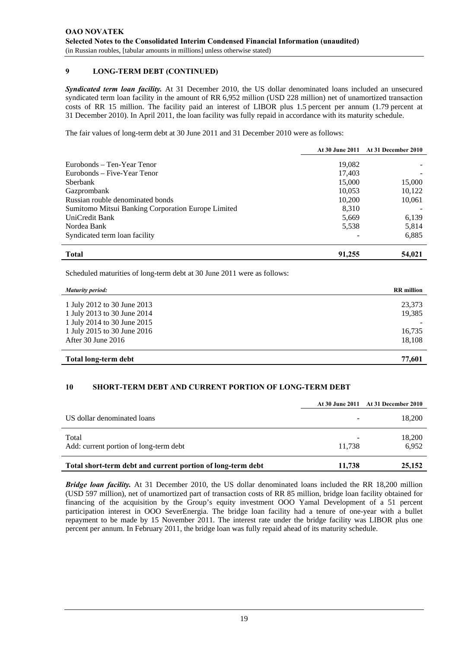### **9 LONG-TERM DEBT (CONTINUED)**

*Syndicated term loan facility.* At 31 December 2010, the US dollar denominated loans included an unsecured syndicated term loan facility in the amount of RR 6,952 million (USD 228 million) net of unamortized transaction costs of RR 15 million. The facility paid an interest of LIBOR plus 1.5 percent per annum (1.79 percent at 31 December 2010). In April 2011, the loan facility was fully repaid in accordance with its maturity schedule.

The fair values of long-term debt at 30 June 2011 and 31 December 2010 were as follows:

|                                                    |                  | At 30 June 2011 At 31 December 2010 |
|----------------------------------------------------|------------------|-------------------------------------|
| Eurobonds – Ten-Year Tenor                         | 19.082           |                                     |
| Eurobonds – Five-Year Tenor<br><b>S</b> berbank    | 17,403<br>15,000 | 15,000                              |
| Gazprombank                                        | 10.053           | 10.122                              |
| Russian rouble denominated bonds                   | 10.200           | 10,061                              |
| Sumitomo Mitsui Banking Corporation Europe Limited | 8.310            |                                     |
| UniCredit Bank                                     | 5,669            | 6,139                               |
| Nordea Bank                                        | 5,538            | 5,814                               |
| Syndicated term loan facility                      |                  | 6,885                               |
| <b>Total</b>                                       | 91,255           | 54,021                              |

Scheduled maturities of long-term debt at 30 June 2011 were as follows:

| <b>Maturity period:</b>     | <b>RR</b> million |
|-----------------------------|-------------------|
| 1 July 2012 to 30 June 2013 | 23,373            |
| 1 July 2013 to 30 June 2014 | 19,385            |
| 1 July 2014 to 30 June 2015 |                   |
| 1 July 2015 to 30 June 2016 | 16,735            |
| After 30 June 2016          | 18,108            |
| <b>Total long-term debt</b> | 77.601            |

### **10 SHORT-TERM DEBT AND CURRENT PORTION OF LONG-TERM DEBT**

|                                                             |        | At 30 June 2011 At 31 December 2010 |
|-------------------------------------------------------------|--------|-------------------------------------|
| US dollar denominated loans                                 |        | 18,200                              |
| Total<br>Add: current portion of long-term debt             | 11.738 | 18,200<br>6.952                     |
| Total short-term debt and current portion of long-term debt | 11,738 | 25,152                              |

*Bridge loan facility.* At 31 December 2010, the US dollar denominated loans included the RR 18,200 million (USD 597 million), net of unamortized part of transaction costs of RR 85 million, bridge loan facility obtained for financing of the acquisition by the Group's equity investment OOO Yamal Development of a 51 percent participation interest in OOO SeverEnergia. The bridge loan facility had a tenure of one-year with a bullet repayment to be made by 15 November 2011. The interest rate under the bridge facility was LIBOR plus one percent per annum. In February 2011, the bridge loan was fully repaid ahead of its maturity schedule.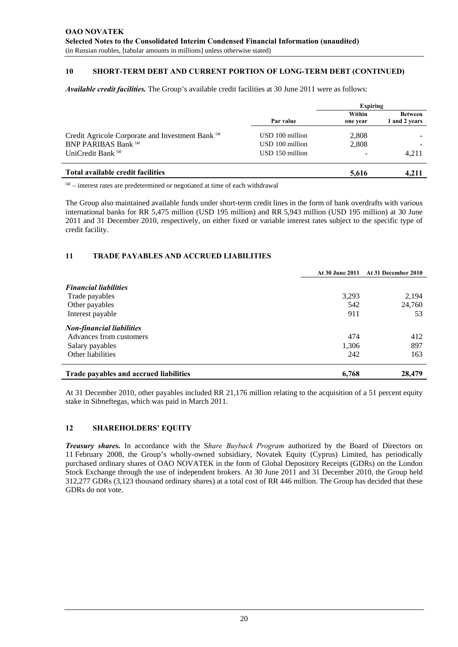# **10 SHORT-TERM DEBT AND CURRENT PORTION OF LONG-TERM DEBT (CONTINUED)**

*Available credit facilities.* The Group's available credit facilities at 30 June 2011 were as follows:

|                                                   | Expiring        |          |                                 |
|---------------------------------------------------|-----------------|----------|---------------------------------|
|                                                   | Par value       | Within   | <b>Between</b><br>1 and 2 years |
|                                                   |                 | one year |                                 |
| Credit Agricole Corporate and Investment Bank (a) | USD 100 million | 2,808    |                                 |
| <b>BNP PARIBAS Bank (a)</b>                       | USD 100 million | 2,808    |                                 |
| UniCredit Bank <sup>(a)</sup>                     | USD 150 million |          | 4.211                           |
| Total available credit facilities                 |                 | 5,616    | 4.211                           |

 $(3)$  – interest rates are predetermined or negotiated at time of each withdrawal

The Group also maintained available funds under short-term credit lines in the form of bank overdrafts with various international banks for RR 5,475 million (USD 195 million) and RR 5,943 million (USD 195 million) at 30 June 2011 and 31 December 2010, respectively, on either fixed or variable interest rates subject to the specific type of credit facility.

#### **11 TRADE PAYABLES AND ACCRUED LIABILITIES**

|                                        |       | At 30 June 2011 At 31 December 2010 |
|----------------------------------------|-------|-------------------------------------|
| <b>Financial liabilities</b>           |       |                                     |
| Trade payables                         | 3,293 | 2,194                               |
| Other payables                         | 542   | 24,760                              |
| Interest payable                       | 911   | 53                                  |
| <b>Non-financial liabilities</b>       |       |                                     |
| Advances from customers                | 474   | 412                                 |
| Salary payables                        | 1,306 | 897                                 |
| Other liabilities                      | 242   | 163                                 |
| Trade payables and accrued liabilities | 6,768 | 28,479                              |

At 31 December 2010, other payables included RR 21,176 million relating to the acquisition of a 51 percent equity stake in Sibneftegas, which was paid in March 2011.

#### **12 SHAREHOLDERS' EQUITY**

*Treasury shares.* In accordance with the S*hare Buyback Program* authorized by the Board of Directors on 11 February 2008, the Group's wholly-owned subsidiary, Novatek Equity (Cyprus) Limited, has periodically purchased ordinary shares of OAO NOVATEK in the form of Global Depository Receipts (GDRs) on the London Stock Exchange through the use of independent brokers. At 30 June 2011 and 31 December 2010, the Group held 312,277 GDRs (3,123 thousand ordinary shares) at a total cost of RR 446 million. The Group has decided that these GDRs do not vote.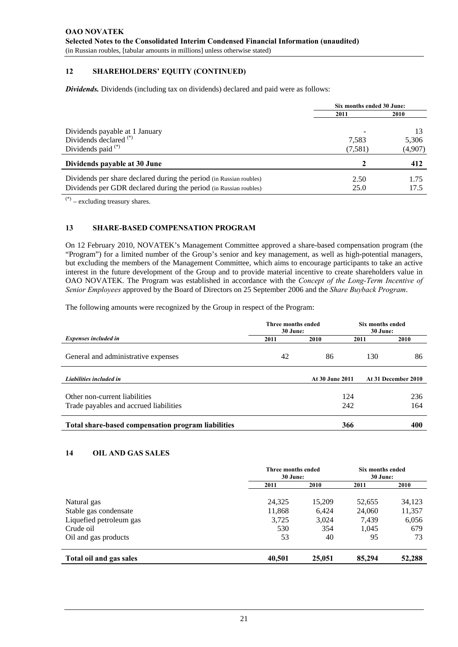# **12 SHAREHOLDERS' EQUITY (CONTINUED)**

*Dividends.* Dividends (including tax on dividends) declared and paid were as follows:

|                                                                     |         | Six months ended 30 June: |  |  |
|---------------------------------------------------------------------|---------|---------------------------|--|--|
|                                                                     | 2011    | 2010                      |  |  |
| Dividends payable at 1 January                                      |         |                           |  |  |
| Dividends declared <sup>(*)</sup>                                   | 7.583   | 5,306                     |  |  |
| Dividends paid $(*)$                                                | (7,581) | (4,907)                   |  |  |
| Dividends payable at 30 June                                        | 2       | 412                       |  |  |
| Dividends per share declared during the period (in Russian roubles) | 2.50    | 1.75                      |  |  |
| Dividends per GDR declared during the period (in Russian roubles)   | 25.0    | 17.5                      |  |  |

(\*) – excluding treasury shares.

# **13 SHARE-BASED COMPENSATION PROGRAM**

On 12 February 2010, NOVATEK's Management Committee approved a share-based compensation program (the "Program") for a limited number of the Group's senior and key management, as well as high-potential managers, but excluding the members of the Management Committee, which aims to encourage participants to take an active interest in the future development of the Group and to provide material incentive to create shareholders value in OAO NOVATEK. The Program was established in accordance with the *Concept of the Long-Term Incentive of Senior Employees* approved by the Board of Directors on 25 September 2006 and the *Share Buyback Program*.

The following amounts were recognized by the Group in respect of the Program:

| Three months ended<br>30 June:                     |      |                        | Six months ended<br>30 June: |                     |
|----------------------------------------------------|------|------------------------|------------------------------|---------------------|
| <b>Expenses included in</b>                        | 2011 | 2010                   | 2011                         | 2010                |
| General and administrative expenses                | 42   | 86                     | 130                          | 86                  |
| Liabilities included in                            |      | <b>At 30 June 2011</b> |                              | At 31 December 2010 |
| Other non-current liabilities                      |      | 124                    |                              | 236                 |
| Trade payables and accrued liabilities             |      | 242                    |                              | 164                 |
| Total share-based compensation program liabilities |      | 366                    |                              | 400                 |

### **14 OIL AND GAS SALES**

|                                      | <b>Three months ended</b><br>30 June: |                                 | Six months ended<br>30 June:       |                                  |
|--------------------------------------|---------------------------------------|---------------------------------|------------------------------------|----------------------------------|
|                                      | 2011                                  | 2010                            | 2011                               | 2010                             |
| Natural gas<br>Stable gas condensate | 24,325<br>11,868<br>3,725<br>530      | 15,209<br>6.424<br>3,024<br>354 | 52,655<br>24,060<br>7,439<br>1,045 | 34,123<br>11,357<br>6,056<br>679 |
|                                      |                                       |                                 |                                    |                                  |
| Crude oil                            |                                       |                                 |                                    |                                  |
| Oil and gas products                 |                                       |                                 |                                    |                                  |
| Total oil and gas sales              | 40,501                                | 25,051                          | 85,294                             | 52,288                           |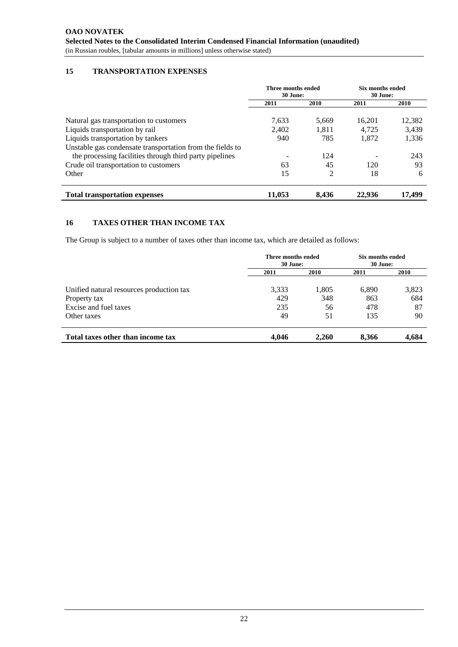# **15 TRANSPORTATION EXPENSES**

|                                                                                                                      | Three months ended<br>30 June: |       | Six months ended<br>30 June: |        |
|----------------------------------------------------------------------------------------------------------------------|--------------------------------|-------|------------------------------|--------|
|                                                                                                                      | 2011                           | 2010  | 2011                         | 2010   |
| Natural gas transportation to customers                                                                              | 7,633                          | 5.669 | 16,201                       | 12,382 |
| Liquids transportation by rail                                                                                       | 2,402                          | 1,811 | 4,725                        | 3,439  |
| Liquids transportation by tankers                                                                                    | 940                            | 785   | 1,872                        | 1,336  |
| Unstable gas condensate transportation from the fields to<br>the processing facilities through third party pipelines |                                | 124   |                              | 243    |
| Crude oil transportation to customers                                                                                | 63                             | 45    | 120                          | 93     |
| Other                                                                                                                | 15                             | 2     | 18                           | 6      |
| <b>Total transportation expenses</b>                                                                                 | 11.053                         | 8.436 | 22,936                       | 17.499 |

### **16 TAXES OTHER THAN INCOME TAX**

The Group is subject to a number of taxes other than income tax, which are detailed as follows:

|                                          | Three months ended<br>30 June: |       | Six months ended<br>30 June: |             |
|------------------------------------------|--------------------------------|-------|------------------------------|-------------|
|                                          | 2011                           | 2010  | 2011                         | <b>2010</b> |
| Unified natural resources production tax | 3,333                          | 1,805 | 6,890                        | 3,823       |
| Property tax                             | 429                            | 348   | 863                          | 684         |
| Excise and fuel taxes                    | 235                            | 56    | 478                          | 87          |
| Other taxes                              | 49                             | 51    | 135                          | 90          |
| Total taxes other than income tax        | 4.046                          | 2.260 | 8.366                        | 4,684       |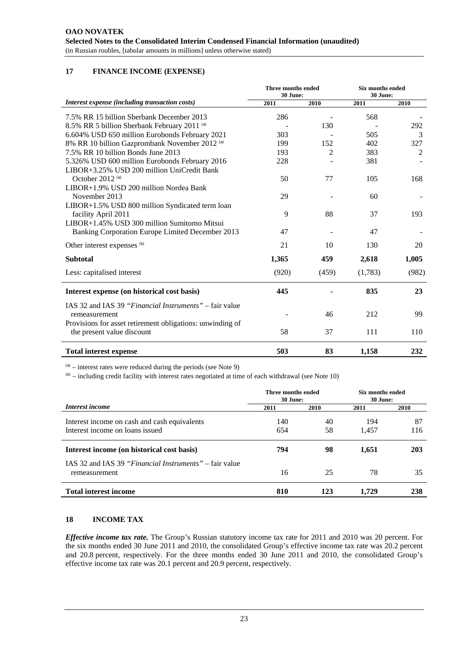# **17 FINANCE INCOME (EXPENSE)**

|                                                           | Three months ended<br>30 June: |                | <b>Six months ended</b><br>30 June: |       |
|-----------------------------------------------------------|--------------------------------|----------------|-------------------------------------|-------|
| Interest expense (including transaction costs)            | 2011                           | 2010           | 2011                                | 2010  |
| 7.5% RR 15 billion Sberbank December 2013                 | 286                            |                | 568                                 |       |
| 8.5% RR 5 billion Sberbank February 2011 (a)              |                                | 130            |                                     | 292   |
| 6.604% USD 650 million Eurobonds February 2021            | 303                            |                | 505                                 | 3     |
| 8% RR 10 billion Gazprombank November 2012 (a)            | 199                            | 152            | 402                                 | 327   |
| 7.5% RR 10 billion Bonds June 2013                        | 193                            | $\overline{c}$ | 383                                 | 2     |
| 5.326% USD 600 million Eurobonds February 2016            | 228                            |                | 381                                 |       |
| LIBOR+3.25% USD 200 million UniCredit Bank                |                                |                |                                     |       |
| October 2012 <sup>(a)</sup>                               | 50                             | 77             | 105                                 | 168   |
| LIBOR+1.9% USD 200 million Nordea Bank                    |                                |                |                                     |       |
| November 2013                                             | 29                             |                | 60                                  |       |
| LIBOR+1.5% USD 800 million Syndicated term loan           |                                |                |                                     |       |
| facility April 2011                                       | 9                              | 88             | 37                                  | 193   |
| LIBOR+1.45% USD 300 million Sumitomo Mitsui               |                                |                |                                     |       |
| Banking Corporation Europe Limited December 2013          | 47                             |                | 47                                  |       |
| Other interest expenses (b)                               | 21                             | 10             | 130                                 | 20    |
| <b>Subtotal</b>                                           | 1,365                          | 459            | 2,618                               | 1,005 |
| Less: capitalised interest                                | (920)                          | (459)          | (1,783)                             | (982) |
| Interest expense (on historical cost basis)               | 445                            |                | 835                                 | 23    |
| IAS 32 and IAS 39 "Financial Instruments" – fair value    |                                |                |                                     |       |
| remeasurement                                             |                                | 46             | 212                                 | 99    |
| Provisions for asset retirement obligations: unwinding of |                                |                |                                     |       |
| the present value discount                                | 58                             | 37             | 111                                 | 110   |
| <b>Total interest expense</b>                             | 503                            | 83             | 1,158                               | 232   |

 $(a)$  – interest rates were reduced during the periods (see Note 9)

 $<sup>(b)</sup>$  – including credit facility with interest rates negotiated at time of each withdrawal (see Note 10)</sup>

|                                                        | Three months ended<br>30 June: |      | Six months ended<br>30 June: |      |
|--------------------------------------------------------|--------------------------------|------|------------------------------|------|
| Interest income                                        | 2011                           | 2010 | 2011                         | 2010 |
| Interest income on cash and cash equivalents           | 140                            | 40   | 194                          | 87   |
| Interest income on loans issued                        | 654                            | 58   | 1.457                        | 116  |
| Interest income (on historical cost basis)             | 794                            | 98   | 1,651                        | 203  |
| IAS 32 and IAS 39 "Financial Instruments" – fair value |                                |      |                              |      |
| remeasurement                                          | 16                             | 25   | 78                           | 35   |
| <b>Total interest income</b>                           | 810                            | 123  | 1.729                        | 238  |

# **18 INCOME TAX**

*Effective income tax rate.* The Group's Russian statutory income tax rate for 2011 and 2010 was 20 percent. For the six months ended 30 June 2011 and 2010, the consolidated Group's effective income tax rate was 20.2 percent and 20.8 percent, respectively. For the three months ended 30 June 2011 and 2010, the consolidated Group's effective income tax rate was 20.1 percent and 20.9 percent, respectively.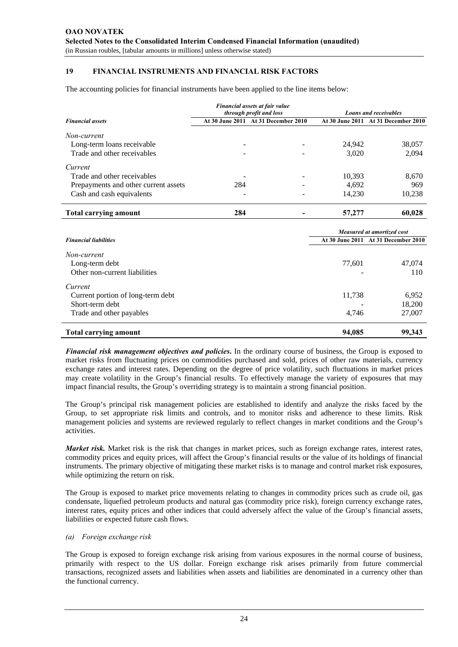# **19 FINANCIAL INSTRUMENTS AND FINANCIAL RISK FACTORS**

The accounting policies for financial instruments have been applied to the line items below:

| Financial assets at fair value<br><b>Loans and receivables</b><br>through profit and loss |     |                                     |                            |                                     |  |
|-------------------------------------------------------------------------------------------|-----|-------------------------------------|----------------------------|-------------------------------------|--|
| <b>Financial assets</b>                                                                   |     | At 30 June 2011 At 31 December 2010 |                            | At 30 June 2011 At 31 December 2010 |  |
| Non-current                                                                               |     |                                     |                            |                                     |  |
| Long-term loans receivable                                                                |     |                                     | 24,942                     | 38,057                              |  |
| Trade and other receivables                                                               |     |                                     | 3,020                      | 2,094                               |  |
| Current                                                                                   |     |                                     |                            |                                     |  |
| Trade and other receivables                                                               |     |                                     | 10,393                     | 8,670                               |  |
| Prepayments and other current assets                                                      | 284 |                                     | 4,692                      | 969                                 |  |
| Cash and cash equivalents                                                                 |     |                                     | 14,230                     | 10,238                              |  |
| <b>Total carrying amount</b>                                                              | 284 |                                     | 57,277                     | 60,028                              |  |
|                                                                                           |     |                                     | Measured at amortized cost |                                     |  |
| <b>Financial liabilities</b>                                                              |     |                                     |                            | At 30 June 2011 At 31 December 2010 |  |
| Non-current                                                                               |     |                                     |                            |                                     |  |
| Long-term debt                                                                            |     |                                     | 77,601                     | 47,074                              |  |
| Other non-current liabilities                                                             |     |                                     |                            | 110                                 |  |
| Current                                                                                   |     |                                     |                            |                                     |  |
| Current portion of long-term debt                                                         |     |                                     | 11,738                     | 6,952                               |  |
| Short-term debt                                                                           |     |                                     |                            | 18.200                              |  |

# **Total carrying amount 94,085 99,343**

*Financial risk management objectives and policies***.** In the ordinary course of business, the Group is exposed to market risks from fluctuating prices on commodities purchased and sold, prices of other raw materials, currency exchange rates and interest rates. Depending on the degree of price volatility, such fluctuations in market prices may create volatility in the Group's financial results. To effectively manage the variety of exposures that may impact financial results, the Group's overriding strategy is to maintain a strong financial position.

Trade and other payables 27,007

The Group's principal risk management policies are established to identify and analyze the risks faced by the Group, to set appropriate risk limits and controls, and to monitor risks and adherence to these limits. Risk management policies and systems are reviewed regularly to reflect changes in market conditions and the Group's activities.

*Market risk.* Market risk is the risk that changes in market prices, such as foreign exchange rates, interest rates, commodity prices and equity prices, will affect the Group's financial results or the value of its holdings of financial instruments. The primary objective of mitigating these market risks is to manage and control market risk exposures, while optimizing the return on risk.

The Group is exposed to market price movements relating to changes in commodity prices such as crude oil, gas condensate, liquefied petroleum products and natural gas (commodity price risk), foreign currency exchange rates, interest rates, equity prices and other indices that could adversely affect the value of the Group's financial assets, liabilities or expected future cash flows.

### *(a) Foreign exchange risk*

The Group is exposed to foreign exchange risk arising from various exposures in the normal course of business, primarily with respect to the US dollar. Foreign exchange risk arises primarily from future commercial transactions, recognized assets and liabilities when assets and liabilities are denominated in a currency other than the functional currency.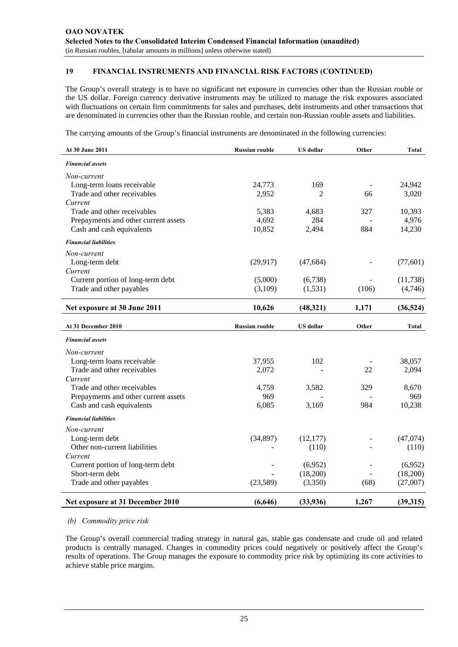The Group's overall strategy is to have no significant net exposure in currencies other than the Russian rouble or the US dollar. Foreign currency derivative instruments may be utilized to manage the risk exposures associated with fluctuations on certain firm commitments for sales and purchases, debt instruments and other transactions that are denominated in currencies other than the Russian rouble, and certain non-Russian rouble assets and liabilities.

The carrying amounts of the Group's financial instruments are denominated in the following currencies:

| At 30 June 2011                        | <b>Russian rouble</b> | <b>US</b> dollar | Other | <b>Total</b> |
|----------------------------------------|-----------------------|------------------|-------|--------------|
| <b>Financial assets</b>                |                       |                  |       |              |
| Non-current                            |                       |                  |       |              |
| Long-term loans receivable             | 24,773                | 169              |       | 24,942       |
| Trade and other receivables            | 2,952                 | 2                | 66    | 3,020        |
| Current                                |                       |                  |       |              |
| Trade and other receivables            | 5,383                 | 4,683            | 327   | 10,393       |
| Prepayments and other current assets   | 4,692                 | 284              |       | 4,976        |
| Cash and cash equivalents              | 10,852                | 2,494            | 884   | 14,230       |
| <b>Financial liabilities</b>           |                       |                  |       |              |
| Non-current                            |                       |                  |       |              |
| Long-term debt                         | (29, 917)             | (47, 684)        |       | (77, 601)    |
| Current                                |                       |                  |       |              |
| Current portion of long-term debt      | (5,000)               | (6,738)          |       | (11, 738)    |
| Trade and other payables               | (3,109)               | (1, 531)         | (106) | (4,746)      |
| Net exposure at 30 June 2011           | 10,626                | (48,321)         | 1,171 | (36, 524)    |
| At 31 December 2010                    | <b>Russian rouble</b> | <b>US</b> dollar | Other | Total        |
| <b>Financial assets</b>                |                       |                  |       |              |
|                                        |                       |                  |       |              |
| Non-current                            |                       |                  |       |              |
| Long-term loans receivable             | 37,955                | 102              |       | 38,057       |
| Trade and other receivables            | 2,072                 |                  | 22    | 2,094        |
| Current<br>Trade and other receivables |                       |                  | 329   |              |
| Prepayments and other current assets   | 4,759<br>969          | 3,582            |       | 8,670<br>969 |
| Cash and cash equivalents              | 6,085                 | 3,169            | 984   | 10,238       |
|                                        |                       |                  |       |              |
| <b>Financial liabilities</b>           |                       |                  |       |              |
| Non-current                            |                       |                  |       |              |
| Long-term debt                         | (34,897)              | (12, 177)        |       | (47,074)     |
| Other non-current liabilities          |                       | (110)            |       | (110)        |
| Current                                |                       |                  |       |              |
| Current portion of long-term debt      |                       | (6,952)          |       | (6,952)      |
| Short-term debt                        |                       | (18,200)         |       | (18,200)     |
| Trade and other payables               | (23,589)              | (3,350)          | (68)  | (27,007)     |
| Net exposure at 31 December 2010       | (6,646)               | (33, 936)        | 1,267 | (39, 315)    |

#### *(b) Commodity price risk*

The Group's overall commercial trading strategy in natural gas, stable gas condensate and crude oil and related products is centrally managed. Changes in commodity prices could negatively or positively affect the Group's results of operations. The Group manages the exposure to commodity price risk by optimizing its core activities to achieve stable price margins.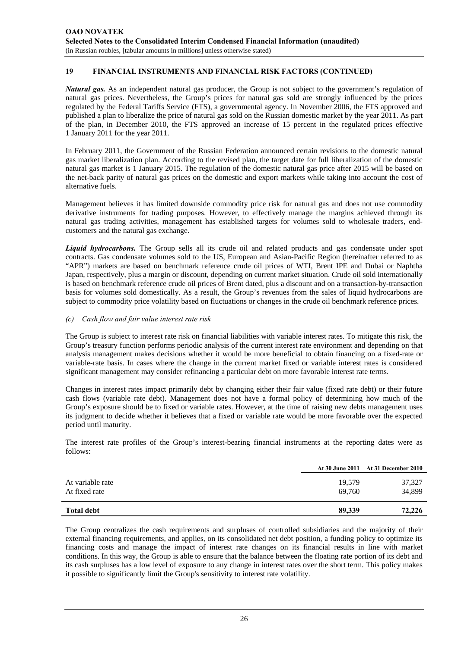*Natural gas.* As an independent natural gas producer, the Group is not subject to the government's regulation of natural gas prices. Nevertheless, the Group's prices for natural gas sold are strongly influenced by the prices regulated by the Federal Tariffs Service (FTS), a governmental agency. In November 2006, the FTS approved and published a plan to liberalize the price of natural gas sold on the Russian domestic market by the year 2011. As part of the plan, in December 2010, the FTS approved an increase of 15 percent in the regulated prices effective 1 January 2011 for the year 2011.

In February 2011, the Government of the Russian Federation announced certain revisions to the domestic natural gas market liberalization plan. According to the revised plan, the target date for full liberalization of the domestic natural gas market is 1 January 2015. The regulation of the domestic natural gas price after 2015 will be based on the net-back parity of natural gas prices on the domestic and export markets while taking into account the cost of alternative fuels.

Management believes it has limited downside commodity price risk for natural gas and does not use commodity derivative instruments for trading purposes. However, to effectively manage the margins achieved through its natural gas trading activities, management has established targets for volumes sold to wholesale traders, endcustomers and the natural gas exchange.

*Liquid hydrocarbons.* The Group sells all its crude oil and related products and gas condensate under spot contracts. Gas condensate volumes sold to the US, European and Asian-Pacific Region (hereinafter referred to as "APR") markets are based on benchmark reference crude oil prices of WTI, Brent IPE and Dubai or Naphtha Japan, respectively, plus a margin or discount, depending on current market situation. Crude oil sold internationally is based on benchmark reference crude oil prices of Brent dated, plus a discount and on a transaction-by-transaction basis for volumes sold domestically. As a result, the Group's revenues from the sales of liquid hydrocarbons are subject to commodity price volatility based on fluctuations or changes in the crude oil benchmark reference prices.

#### *(c) Cash flow and fair value interest rate risk*

The Group is subject to interest rate risk on financial liabilities with variable interest rates. To mitigate this risk, the Group's treasury function performs periodic analysis of the current interest rate environment and depending on that analysis management makes decisions whether it would be more beneficial to obtain financing on a fixed-rate or variable-rate basis. In cases where the change in the current market fixed or variable interest rates is considered significant management may consider refinancing a particular debt on more favorable interest rate terms.

Changes in interest rates impact primarily debt by changing either their fair value (fixed rate debt) or their future cash flows (variable rate debt). Management does not have a formal policy of determining how much of the Group's exposure should be to fixed or variable rates. However, at the time of raising new debts management uses its judgment to decide whether it believes that a fixed or variable rate would be more favorable over the expected period until maturity.

The interest rate profiles of the Group's interest-bearing financial instruments at the reporting dates were as follows:

|                                   |                  | At 30 June 2011 At 31 December 2010 |
|-----------------------------------|------------------|-------------------------------------|
| At variable rate<br>At fixed rate | 19,579<br>69.760 | 37,327<br>34,899                    |
| <b>Total debt</b>                 | 89,339           | 72,226                              |

The Group centralizes the cash requirements and surpluses of controlled subsidiaries and the majority of their external financing requirements, and applies, on its consolidated net debt position, a funding policy to optimize its financing costs and manage the impact of interest rate changes on its financial results in line with market conditions. In this way, the Group is able to ensure that the balance between the floating rate portion of its debt and its cash surpluses has a low level of exposure to any change in interest rates over the short term. This policy makes it possible to significantly limit the Group's sensitivity to interest rate volatility.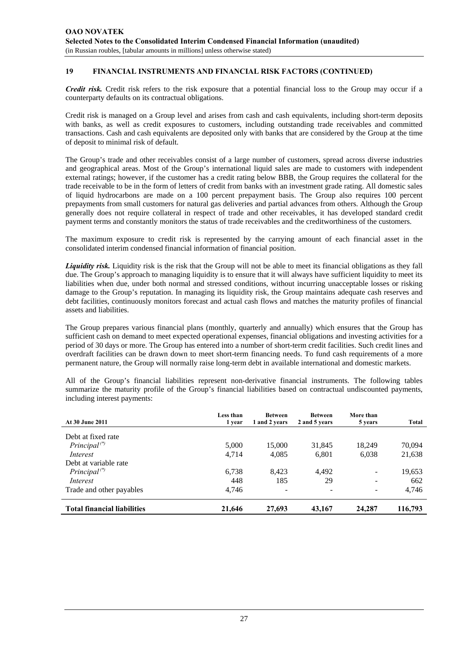*Credit risk.* Credit risk refers to the risk exposure that a potential financial loss to the Group may occur if a counterparty defaults on its contractual obligations.

Credit risk is managed on a Group level and arises from cash and cash equivalents, including short-term deposits with banks, as well as credit exposures to customers, including outstanding trade receivables and committed transactions. Cash and cash equivalents are deposited only with banks that are considered by the Group at the time of deposit to minimal risk of default.

The Group's trade and other receivables consist of a large number of customers, spread across diverse industries and geographical areas. Most of the Group's international liquid sales are made to customers with independent external ratings; however, if the customer has a credit rating below BBB, the Group requires the collateral for the trade receivable to be in the form of letters of credit from banks with an investment grade rating. All domestic sales of liquid hydrocarbons are made on a 100 percent prepayment basis. The Group also requires 100 percent prepayments from small customers for natural gas deliveries and partial advances from others. Although the Group generally does not require collateral in respect of trade and other receivables, it has developed standard credit payment terms and constantly monitors the status of trade receivables and the creditworthiness of the customers.

The maximum exposure to credit risk is represented by the carrying amount of each financial asset in the consolidated interim condensed financial information of financial position.

*Liquidity risk.* Liquidity risk is the risk that the Group will not be able to meet its financial obligations as they fall due. The Group's approach to managing liquidity is to ensure that it will always have sufficient liquidity to meet its liabilities when due, under both normal and stressed conditions, without incurring unacceptable losses or risking damage to the Group's reputation. In managing its liquidity risk, the Group maintains adequate cash reserves and debt facilities, continuously monitors forecast and actual cash flows and matches the maturity profiles of financial assets and liabilities.

The Group prepares various financial plans (monthly, quarterly and annually) which ensures that the Group has sufficient cash on demand to meet expected operational expenses, financial obligations and investing activities for a period of 30 days or more. The Group has entered into a number of short-term credit facilities. Such credit lines and overdraft facilities can be drawn down to meet short-term financing needs. To fund cash requirements of a more permanent nature, the Group will normally raise long-term debt in available international and domestic markets.

All of the Group's financial liabilities represent non-derivative financial instruments. The following tables summarize the maturity profile of the Group's financial liabilities based on contractual undiscounted payments, including interest payments:

|                                    | Less than | <b>Between</b> | <b>Between</b>           | More than                |         |
|------------------------------------|-----------|----------------|--------------------------|--------------------------|---------|
| <b>At 30 June 2011</b>             | 1 year    | 1 and 2 years  | 2 and 5 years            | 5 years                  | Total   |
| Debt at fixed rate                 |           |                |                          |                          |         |
| $Principal$ <sup>(*)</sup>         | 5,000     | 15,000         | 31,845                   | 18.249                   | 70,094  |
| Interest                           | 4.714     | 4,085          | 6,801                    | 6,038                    | 21,638  |
| Debt at variable rate              |           |                |                          |                          |         |
| $Principal$ <sup>(*)</sup>         | 6,738     | 8.423          | 4.492                    | $\overline{\phantom{a}}$ | 19,653  |
| Interest                           | 448       | 185            | 29                       |                          | 662     |
| Trade and other payables           | 4.746     | ۰              | $\overline{\phantom{m}}$ |                          | 4,746   |
| <b>Total financial liabilities</b> | 21,646    | 27,693         | 43,167                   | 24,287                   | 116,793 |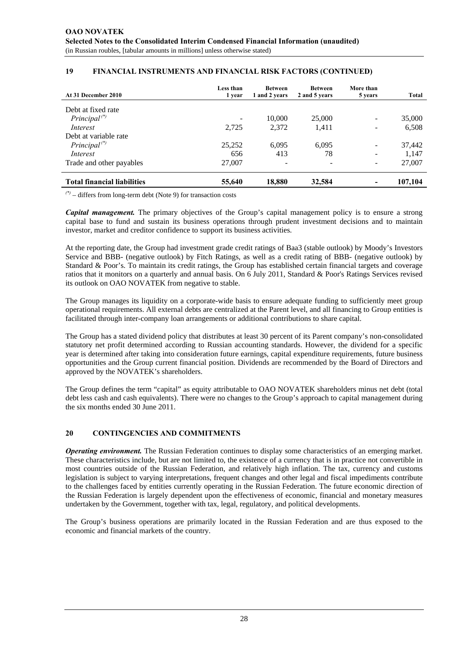| At 31 December 2010                | <b>Less than</b><br>1 year   | <b>Between</b><br>1 and 2 vears | <b>Between</b><br>2 and 5 years | More than<br>5 years         | Total   |
|------------------------------------|------------------------------|---------------------------------|---------------------------------|------------------------------|---------|
| Debt at fixed rate                 |                              |                                 |                                 |                              |         |
| $Principal$ <sup>(*)</sup>         | $\qquad \qquad \blacksquare$ | 10,000                          | 25,000                          | ۰                            | 35,000  |
| Interest                           | 2,725                        | 2,372                           | 1,411                           | $\qquad \qquad$              | 6,508   |
| Debt at variable rate              |                              |                                 |                                 |                              |         |
| $Principal$ <sup>(*)</sup>         | 25,252                       | 6.095                           | 6,095                           | $\qquad \qquad -$            | 37,442  |
| Interest                           | 656                          | 413                             | 78                              | $\qquad \qquad \blacksquare$ | 1,147   |
| Trade and other payables           | 27,007                       |                                 | $\overline{\phantom{a}}$        | $\qquad \qquad \blacksquare$ | 27,007  |
| <b>Total financial liabilities</b> | 55,640                       | 18,880                          | 32,584                          | -                            | 107,104 |

*(\*)* – differs from long-term debt (Note 9) for transaction costs

*Capital management.* The primary objectives of the Group's capital management policy is to ensure a strong capital base to fund and sustain its business operations through prudent investment decisions and to maintain investor, market and creditor confidence to support its business activities.

At the reporting date, the Group had investment grade credit ratings of Baa3 (stable outlook) by Moody's Investors Service and BBB- (negative outlook) by Fitch Ratings, as well as a credit rating of BBB- (negative outlook) by Standard & Poor's. To maintain its credit ratings, the Group has established certain financial targets and coverage ratios that it monitors on a quarterly and annual basis. On 6 July 2011, Standard & Poor's Ratings Services revised its outlook on OAO NOVATEK from negative to stable.

The Group manages its liquidity on a corporate-wide basis to ensure adequate funding to sufficiently meet group operational requirements. All external debts are centralized at the Parent level, and all financing to Group entities is facilitated through inter-company loan arrangements or additional contributions to share capital.

The Group has a stated dividend policy that distributes at least 30 percent of its Parent company's non-consolidated statutory net profit determined according to Russian accounting standards. However, the dividend for a specific year is determined after taking into consideration future earnings, capital expenditure requirements, future business opportunities and the Group current financial position. Dividends are recommended by the Board of Directors and approved by the NOVATEK's shareholders.

The Group defines the term "capital" as equity attributable to OAO NOVATEK shareholders minus net debt (total debt less cash and cash equivalents). There were no changes to the Group's approach to capital management during the six months ended 30 June 2011.

### **20 CONTINGENCIES AND COMMITMENTS**

*Operating environment.* The Russian Federation continues to display some characteristics of an emerging market. These characteristics include, but are not limited to, the existence of a currency that is in practice not convertible in most countries outside of the Russian Federation, and relatively high inflation. The tax, currency and customs legislation is subject to varying interpretations, frequent changes and other legal and fiscal impediments contribute to the challenges faced by entities currently operating in the Russian Federation. The future economic direction of the Russian Federation is largely dependent upon the effectiveness of economic, financial and monetary measures undertaken by the Government, together with tax, legal, regulatory, and political developments.

The Group's business operations are primarily located in the Russian Federation and are thus exposed to the economic and financial markets of the country.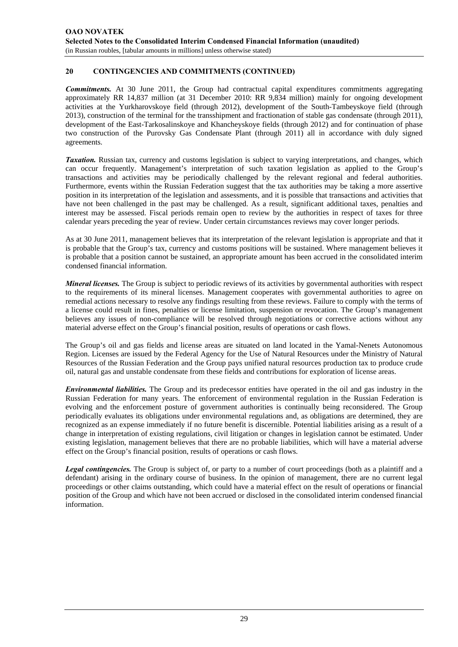# **20 CONTINGENCIES AND COMMITMENTS (CONTINUED)**

*Commitments.* At 30 June 2011, the Group had contractual capital expenditures commitments aggregating approximately RR 14,837 million (at 31 December 2010: RR 9,834 million) mainly for ongoing development activities at the Yurkharovskoye field (through 2012), development of the South-Tambeyskoye field (through 2013), construction of the terminal for the transshipment and fractionation of stable gas condensate (through 2011), development of the East-Tarkosalinskoye and Khancheyskoye fields (through 2012) and for continuation of phase two construction of the Purovsky Gas Condensate Plant (through 2011) all in accordance with duly signed agreements.

*Taxation.* Russian tax, currency and customs legislation is subject to varying interpretations, and changes, which can occur frequently. Management's interpretation of such taxation legislation as applied to the Group's transactions and activities may be periodically challenged by the relevant regional and federal authorities. Furthermore, events within the Russian Federation suggest that the tax authorities may be taking a more assertive position in its interpretation of the legislation and assessments, and it is possible that transactions and activities that have not been challenged in the past may be challenged. As a result, significant additional taxes, penalties and interest may be assessed. Fiscal periods remain open to review by the authorities in respect of taxes for three calendar years preceding the year of review. Under certain circumstances reviews may cover longer periods.

As at 30 June 2011, management believes that its interpretation of the relevant legislation is appropriate and that it is probable that the Group's tax, currency and customs positions will be sustained. Where management believes it is probable that a position cannot be sustained, an appropriate amount has been accrued in the consolidated interim condensed financial information.

*Mineral licenses*. The Group is subject to periodic reviews of its activities by governmental authorities with respect to the requirements of its mineral licenses. Management cooperates with governmental authorities to agree on remedial actions necessary to resolve any findings resulting from these reviews. Failure to comply with the terms of a license could result in fines, penalties or license limitation, suspension or revocation. The Group's management believes any issues of non-compliance will be resolved through negotiations or corrective actions without any material adverse effect on the Group's financial position, results of operations or cash flows.

The Group's oil and gas fields and license areas are situated on land located in the Yamal-Nenets Autonomous Region. Licenses are issued by the Federal Agency for the Use of Natural Resources under the Ministry of Natural Resources of the Russian Federation and the Group pays unified natural resources production tax to produce crude oil, natural gas and unstable condensate from these fields and contributions for exploration of license areas.

*Environmental liabilities.* The Group and its predecessor entities have operated in the oil and gas industry in the Russian Federation for many years. The enforcement of environmental regulation in the Russian Federation is evolving and the enforcement posture of government authorities is continually being reconsidered. The Group periodically evaluates its obligations under environmental regulations and, as obligations are determined, they are recognized as an expense immediately if no future benefit is discernible. Potential liabilities arising as a result of a change in interpretation of existing regulations, civil litigation or changes in legislation cannot be estimated. Under existing legislation, management believes that there are no probable liabilities, which will have a material adverse effect on the Group's financial position, results of operations or cash flows.

*Legal contingencies.* The Group is subject of, or party to a number of court proceedings (both as a plaintiff and a defendant) arising in the ordinary course of business. In the opinion of management, there are no current legal proceedings or other claims outstanding, which could have a material effect on the result of operations or financial position of the Group and which have not been accrued or disclosed in the consolidated interim condensed financial information.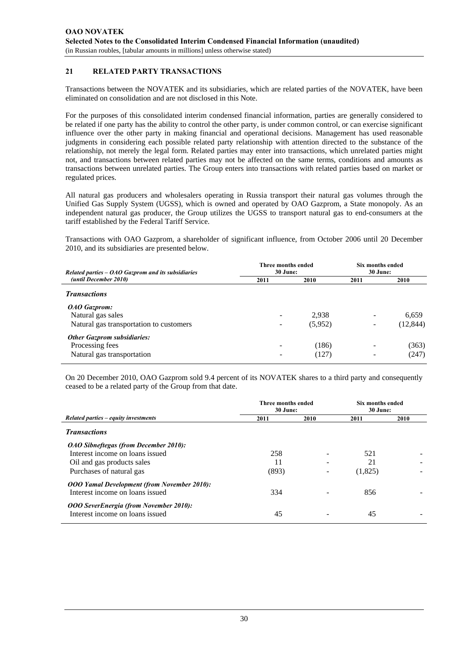### **21 RELATED PARTY TRANSACTIONS**

Transactions between the NOVATEK and its subsidiaries, which are related parties of the NOVATEK, have been eliminated on consolidation and are not disclosed in this Note.

For the purposes of this consolidated interim condensed financial information, parties are generally considered to be related if one party has the ability to control the other party, is under common control, or can exercise significant influence over the other party in making financial and operational decisions. Management has used reasonable judgments in considering each possible related party relationship with attention directed to the substance of the relationship, not merely the legal form. Related parties may enter into transactions, which unrelated parties might not, and transactions between related parties may not be affected on the same terms, conditions and amounts as transactions between unrelated parties. The Group enters into transactions with related parties based on market or regulated prices.

All natural gas producers and wholesalers operating in Russia transport their natural gas volumes through the Unified Gas Supply System (UGSS), which is owned and operated by OAO Gazprom, a State monopoly. As an independent natural gas producer, the Group utilizes the UGSS to transport natural gas to end-consumers at the tariff established by the Federal Tariff Service.

Transactions with OAO Gazprom, a shareholder of significant influence, from October 2006 until 20 December 2010, and its subsidiaries are presented below.

| Related parties $-$ OAO Gazprom and its subsidiaries | Three months ended<br>30 June: |         | Six months ended<br>30 June: |           |
|------------------------------------------------------|--------------------------------|---------|------------------------------|-----------|
| (until December 2010)                                | 2011                           | 2010    | 2011                         | 2010      |
| <b>Transactions</b>                                  |                                |         |                              |           |
| OAO Gazprom:                                         |                                |         |                              |           |
| Natural gas sales                                    |                                | 2,938   |                              | 6,659     |
| Natural gas transportation to customers              | $\qquad \qquad \blacksquare$   | (5,952) |                              | (12, 844) |
| <b>Other Gazprom subsidiaries:</b>                   |                                |         |                              |           |
| Processing fees                                      |                                | (186)   |                              | (363)     |
| Natural gas transportation                           |                                | (127)   |                              | (247)     |

On 20 December 2010, OAO Gazprom sold 9.4 percent of its NOVATEK shares to a third party and consequently ceased to be a related party of the Group from that date.

|                                                                                  | Three months ended<br>30 June: |                          | <b>Six months ended</b><br>30 June: |      |  |
|----------------------------------------------------------------------------------|--------------------------------|--------------------------|-------------------------------------|------|--|
| Related parties – equity investments                                             | 2011                           | 2010                     | 2011                                | 2010 |  |
| <b>Transactions</b>                                                              |                                |                          |                                     |      |  |
| <b>OAO Sibneftegas (from December 2010):</b>                                     |                                |                          |                                     |      |  |
| Interest income on loans issued                                                  | 258                            |                          | 521                                 |      |  |
| Oil and gas products sales                                                       | 11                             |                          | 21                                  |      |  |
| Purchases of natural gas                                                         | (893)                          | $\overline{\phantom{a}}$ | (1,825)                             |      |  |
| <b>OOO Yamal Development (from November 2010):</b>                               |                                |                          |                                     |      |  |
| Interest income on loans issued                                                  | 334                            |                          | 856                                 |      |  |
| <b>OOO SeverEnergia (from November 2010):</b><br>Interest income on loans issued | 45                             |                          | 45                                  |      |  |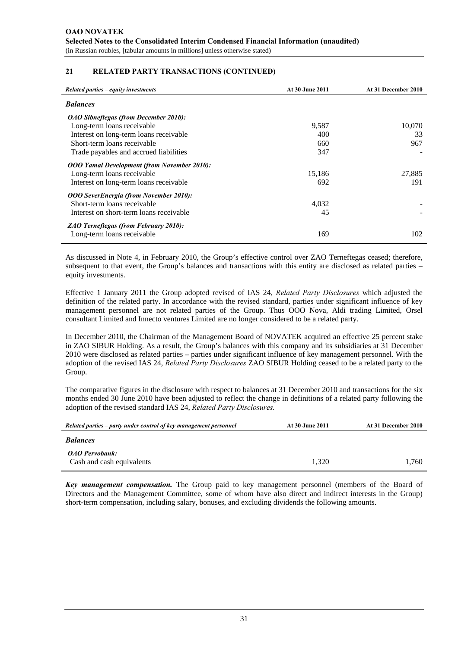### **21 RELATED PARTY TRANSACTIONS (CONTINUED)**

| Related parties – equity investments               | <b>At 30 June 2011</b> | At 31 December 2010 |
|----------------------------------------------------|------------------------|---------------------|
| <b>Balances</b>                                    |                        |                     |
| <i>OAO Sibneftegas (from December 2010):</i>       |                        |                     |
| Long-term loans receivable                         | 9,587                  | 10,070              |
| Interest on long-term loans receivable             | 400                    | 33                  |
| Short-term loans receivable                        | 660                    | 967                 |
| Trade payables and accrued liabilities             | 347                    |                     |
| <b>OOO Yamal Development (from November 2010):</b> |                        |                     |
| Long-term loans receivable                         | 15,186                 | 27,885              |
| Interest on long-term loans receivable             | 692                    | 191                 |
| <b>OOO SeverEnergia (from November 2010):</b>      |                        |                     |
| Short-term loans receivable                        | 4,032                  |                     |
| Interest on short-term loans receivable            | 45                     |                     |
| <b>ZAO Terneftegas (from February 2010):</b>       |                        |                     |
| Long-term loans receivable                         | 169                    | 102                 |

As discussed in Note 4, in February 2010, the Group's effective control over ZAO Terneftegas ceased; therefore, subsequent to that event, the Group's balances and transactions with this entity are disclosed as related parties – equity investments.

Effective 1 January 2011 the Group adopted revised of IAS 24, *Related Party Disclosures* which adjusted the definition of the related party. In accordance with the revised standard, parties under significant influence of key management personnel are not related parties of the Group. Thus OOO Nova, Aldi trading Limited, Orsel consultant Limited and Innecto ventures Limited are no longer considered to be a related party.

In December 2010, the Chairman of the Management Board of NOVATEK acquired an effective 25 percent stake in ZAO SIBUR Holding. As a result, the Group's balances with this company and its subsidiaries at 31 December 2010 were disclosed as related parties – parties under significant influence of key management personnel. With the adoption of the revised IAS 24, *Related Party Disclosures* ZAO SIBUR Holding ceased to be a related party to the Group.

The comparative figures in the disclosure with respect to balances at 31 December 2010 and transactions for the six months ended 30 June 2010 have been adjusted to reflect the change in definitions of a related party following the adoption of the revised standard IAS 24, *Related Party Disclosures.*

| Related parties – party under control of key management personnel | At 30 June 2011 | At 31 December 2010 |
|-------------------------------------------------------------------|-----------------|---------------------|
| <b>Balances</b>                                                   |                 |                     |
| <b>OAO</b> Pervobank:<br>Cash and cash equivalents                | 1.320           | 1.760               |

*Key management compensation.* The Group paid to key management personnel (members of the Board of Directors and the Management Committee, some of whom have also direct and indirect interests in the Group) short-term compensation, including salary, bonuses, and excluding dividends the following amounts.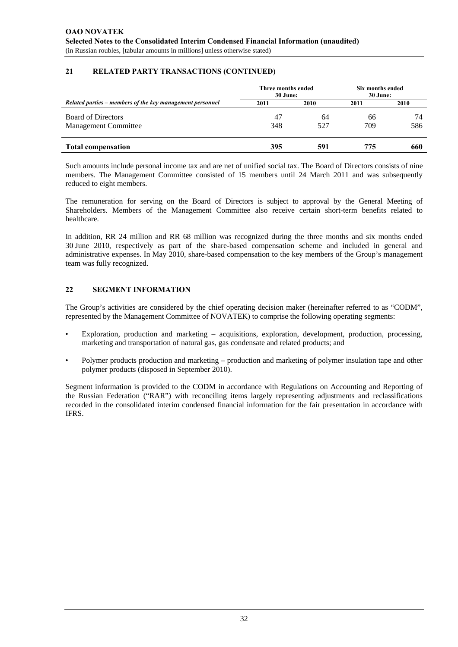# **21 RELATED PARTY TRANSACTIONS (CONTINUED)**

|                                                           | Three months ended<br>30 June: |      | Six months ended<br>30 June: |      |
|-----------------------------------------------------------|--------------------------------|------|------------------------------|------|
| Related parties – members of the key management personnel | 2011                           | 2010 | 2011                         | 2010 |
| <b>Board of Directors</b>                                 | 47                             | 64   | 66                           | 74   |
| <b>Management Committee</b>                               | 348                            | 527  | 709                          | 586  |
| <b>Total compensation</b>                                 | 395                            | 591  | 775                          | 660  |

Such amounts include personal income tax and are net of unified social tax. The Board of Directors consists of nine members. The Management Committee consisted of 15 members until 24 March 2011 and was subsequently reduced to eight members.

The remuneration for serving on the Board of Directors is subject to approval by the General Meeting of Shareholders. Members of the Management Committee also receive certain short-term benefits related to healthcare.

In addition, RR 24 million and RR 68 million was recognized during the three months and six months ended 30 June 2010, respectively as part of the share-based compensation scheme and included in general and administrative expenses. In May 2010, share-based compensation to the key members of the Group's management team was fully recognized.

# **22 SEGMENT INFORMATION**

The Group's activities are considered by the chief operating decision maker (hereinafter referred to as "CODM", represented by the Management Committee of NOVATEK) to comprise the following operating segments:

- Exploration, production and marketing acquisitions, exploration, development, production, processing, marketing and transportation of natural gas, gas condensate and related products; and
- Polymer products production and marketing production and marketing of polymer insulation tape and other polymer products (disposed in September 2010).

Segment information is provided to the CODM in accordance with Regulations on Accounting and Reporting of the Russian Federation ("RAR") with reconciling items largely representing adjustments and reclassifications recorded in the consolidated interim condensed financial information for the fair presentation in accordance with IFRS.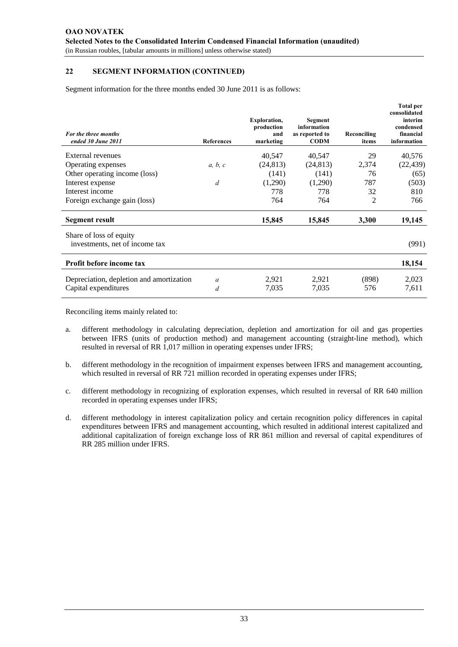Segment information for the three months ended 30 June 2011 is as follows:

| For the three months<br>ended 30 June 2011                | <b>References</b> | <b>Exploration,</b><br>production<br>and<br>marketing | <b>Segment</b><br>information<br>as reported to<br><b>CODM</b> | Reconciling<br>items | <b>Total per</b><br>consolidated<br>interim<br>condensed<br>financial<br>information |
|-----------------------------------------------------------|-------------------|-------------------------------------------------------|----------------------------------------------------------------|----------------------|--------------------------------------------------------------------------------------|
| External revenues                                         |                   | 40,547                                                | 40,547                                                         | 29                   | 40,576                                                                               |
| Operating expenses                                        | a, b, c           | (24, 813)                                             | (24, 813)                                                      | 2,374                | (22, 439)                                                                            |
| Other operating income (loss)                             |                   | (141)                                                 | (141)                                                          | 76                   | (65)                                                                                 |
| Interest expense                                          | d                 | (1,290)                                               | (1,290)                                                        | 787                  | (503)                                                                                |
| Interest income                                           |                   | 778                                                   | 778                                                            | 32                   | 810                                                                                  |
| Foreign exchange gain (loss)                              |                   | 764                                                   | 764                                                            | 2                    | 766                                                                                  |
| Segment result                                            |                   | 15,845                                                | 15,845                                                         | 3,300                | 19,145                                                                               |
| Share of loss of equity<br>investments, net of income tax |                   |                                                       |                                                                |                      | (991)                                                                                |
| Profit before income tax                                  |                   |                                                       |                                                                |                      | 18,154                                                                               |
| Depreciation, depletion and amortization                  | a                 | 2,921                                                 | 2,921                                                          | (898)                | 2,023                                                                                |
| Capital expenditures                                      | d                 | 7,035                                                 | 7,035                                                          | 576                  | 7,611                                                                                |

- a. different methodology in calculating depreciation, depletion and amortization for oil and gas properties between IFRS (units of production method) and management accounting (straight-line method), which resulted in reversal of RR 1,017 million in operating expenses under IFRS;
- b. different methodology in the recognition of impairment expenses between IFRS and management accounting, which resulted in reversal of RR 721 million recorded in operating expenses under IFRS;
- c. different methodology in recognizing of exploration expenses, which resulted in reversal of RR 640 million recorded in operating expenses under IFRS;
- d. different methodology in interest capitalization policy and certain recognition policy differences in capital expenditures between IFRS and management accounting, which resulted in additional interest capitalized and additional capitalization of foreign exchange loss of RR 861 million and reversal of capital expenditures of RR 285 million under IFRS.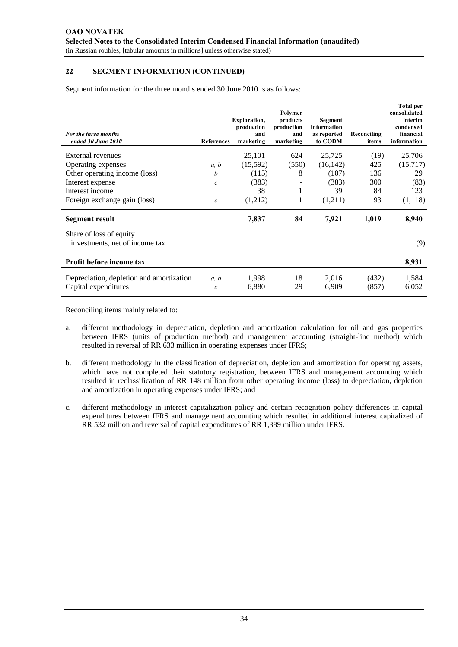Segment information for the three months ended 30 June 2010 is as follows:

| For the three months<br>ended 30 June 2010                       | <b>References</b>     | <b>Exploration,</b><br>production<br>and<br>marketing | Polymer<br>products<br>production<br>and<br>marketing | <b>Segment</b><br>information<br>as reported<br>to CODM | Reconciling<br>items | <b>Total per</b><br>consolidated<br>interim<br>condensed<br>financial<br>information |
|------------------------------------------------------------------|-----------------------|-------------------------------------------------------|-------------------------------------------------------|---------------------------------------------------------|----------------------|--------------------------------------------------------------------------------------|
| External revenues                                                |                       | 25,101                                                | 624                                                   | 25,725                                                  | (19)                 | 25,706                                                                               |
| Operating expenses                                               | a, b                  | (15,592)                                              | (550)                                                 | (16, 142)                                               | 425                  | (15,717)                                                                             |
| Other operating income (loss)                                    | b                     | (115)                                                 | 8                                                     | (107)                                                   | 136                  | 29                                                                                   |
| Interest expense                                                 | $\mathcal{C}$         | (383)                                                 |                                                       | (383)                                                   | 300                  | (83)                                                                                 |
| Interest income                                                  |                       | 38                                                    |                                                       | 39                                                      | 84                   | 123                                                                                  |
| Foreign exchange gain (loss)                                     | $\boldsymbol{c}$      | (1,212)                                               |                                                       | (1,211)                                                 | 93                   | (1,118)                                                                              |
| Segment result                                                   |                       | 7,837                                                 | 84                                                    | 7,921                                                   | 1,019                | 8,940                                                                                |
| Share of loss of equity<br>investments, net of income tax        |                       |                                                       |                                                       |                                                         |                      | (9)                                                                                  |
| Profit before income tax                                         |                       |                                                       |                                                       |                                                         |                      | 8,931                                                                                |
| Depreciation, depletion and amortization<br>Capital expenditures | a, b<br>$\mathcal{C}$ | 1,998<br>6,880                                        | 18<br>29                                              | 2,016<br>6,909                                          | (432)<br>(857)       | 1,584<br>6,052                                                                       |

- a. different methodology in depreciation, depletion and amortization calculation for oil and gas properties between IFRS (units of production method) and management accounting (straight-line method) which resulted in reversal of RR 633 million in operating expenses under IFRS;
- b. different methodology in the classification of depreciation, depletion and amortization for operating assets, which have not completed their statutory registration, between IFRS and management accounting which resulted in reclassification of RR 148 million from other operating income (loss) to depreciation, depletion and amortization in operating expenses under IFRS; and
- c. different methodology in interest capitalization policy and certain recognition policy differences in capital expenditures between IFRS and management accounting which resulted in additional interest capitalized of RR 532 million and reversal of capital expenditures of RR 1,389 million under IFRS.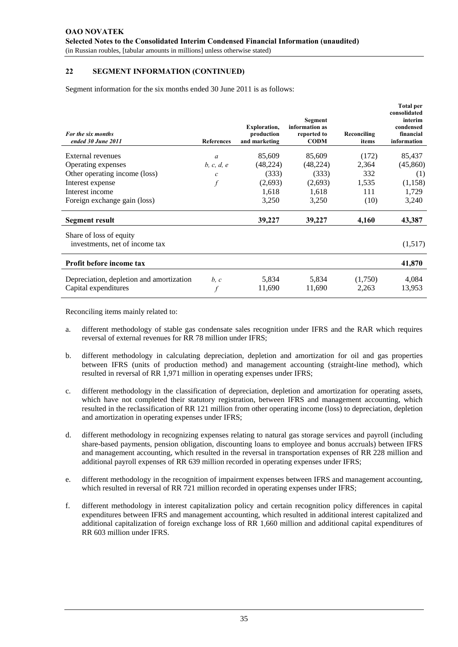Segment information for the six months ended 30 June 2011 is as follows:

| For the six months<br>ended 30 June 2011                         | <b>References</b> | <b>Exploration,</b><br>production<br>and marketing | Segment<br>information as<br>reported to<br><b>CODM</b> | Reconciling<br>items | <b>Total per</b><br>consolidated<br>interim<br>condensed<br>financial<br>information |
|------------------------------------------------------------------|-------------------|----------------------------------------------------|---------------------------------------------------------|----------------------|--------------------------------------------------------------------------------------|
| <b>External revenues</b>                                         | a                 | 85,609                                             | 85,609                                                  | (172)                | 85,437                                                                               |
| Operating expenses                                               | b, c, d, e        | (48, 224)                                          | (48, 224)                                               | 2,364                | (45,860)                                                                             |
| Other operating income (loss)                                    | $\mathcal{C}_{0}$ | (333)                                              | (333)                                                   | 332                  | (1)                                                                                  |
| Interest expense                                                 |                   | (2,693)                                            | (2,693)                                                 | 1,535                | (1,158)                                                                              |
| Interest income                                                  |                   | 1,618                                              | 1,618                                                   | 111                  | 1,729                                                                                |
| Foreign exchange gain (loss)                                     |                   | 3,250                                              | 3,250                                                   | (10)                 | 3,240                                                                                |
| Segment result                                                   |                   | 39,227                                             | 39,227                                                  | 4,160                | 43,387                                                                               |
| Share of loss of equity<br>investments, net of income tax        |                   |                                                    |                                                         |                      | (1,517)                                                                              |
| Profit before income tax                                         |                   |                                                    |                                                         |                      | 41,870                                                                               |
| Depreciation, depletion and amortization<br>Capital expenditures | b, c              | 5,834<br>11,690                                    | 5,834<br>11,690                                         | (1,750)<br>2,263     | 4,084<br>13,953                                                                      |

- a. different methodology of stable gas condensate sales recognition under IFRS and the RAR which requires reversal of external revenues for RR 78 million under IFRS;
- b. different methodology in calculating depreciation, depletion and amortization for oil and gas properties between IFRS (units of production method) and management accounting (straight-line method), which resulted in reversal of RR 1,971 million in operating expenses under IFRS;
- c. different methodology in the classification of depreciation, depletion and amortization for operating assets, which have not completed their statutory registration, between IFRS and management accounting, which resulted in the reclassification of RR 121 million from other operating income (loss) to depreciation, depletion and amortization in operating expenses under IFRS;
- d. different methodology in recognizing expenses relating to natural gas storage services and payroll (including share-based payments, pension obligation, discounting loans to employee and bonus accruals) between IFRS and management accounting, which resulted in the reversal in transportation expenses of RR 228 million and additional payroll expenses of RR 639 million recorded in operating expenses under IFRS;
- e. different methodology in the recognition of impairment expenses between IFRS and management accounting, which resulted in reversal of RR 721 million recorded in operating expenses under IFRS;
- f. different methodology in interest capitalization policy and certain recognition policy differences in capital expenditures between IFRS and management accounting, which resulted in additional interest capitalized and additional capitalization of foreign exchange loss of RR 1,660 million and additional capital expenditures of RR 603 million under IFRS.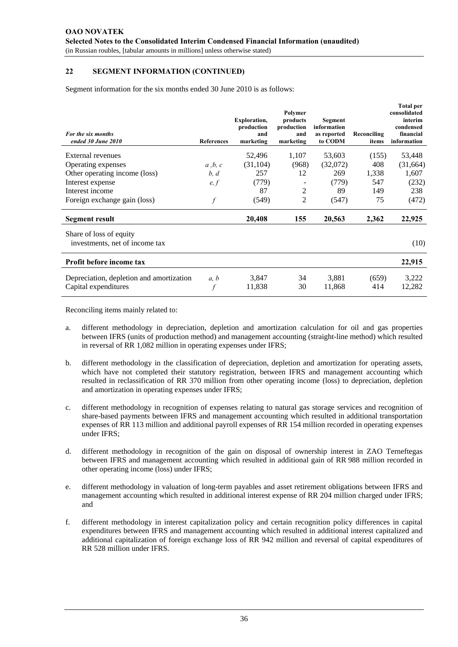Segment information for the six months ended 30 June 2010 is as follows:

| For the six months<br>ended 30 June 2010                         | <b>References</b> | <b>Exploration,</b><br>production<br>and<br>marketing | Polymer<br>products<br>production<br>and<br>marketing | Segment<br>information<br>as reported<br>to CODM | Reconciling<br>items | <b>Total per</b><br>consolidated<br>interim<br>condensed<br>financial<br>information |
|------------------------------------------------------------------|-------------------|-------------------------------------------------------|-------------------------------------------------------|--------------------------------------------------|----------------------|--------------------------------------------------------------------------------------|
| External revenues                                                |                   | 52,496                                                | 1,107                                                 | 53,603                                           | (155)                | 53,448                                                                               |
| Operating expenses                                               | a, b, c           | (31, 104)                                             | (968)                                                 | (32,072)                                         | 408                  | (31,664)                                                                             |
| Other operating income (loss)                                    | b, d              | 257                                                   | 12                                                    | 269                                              | 1,338                | 1,607                                                                                |
| Interest expense                                                 | e, f              | (779)                                                 |                                                       | (779)                                            | 547                  | (232)                                                                                |
| Interest income                                                  |                   | 87                                                    | 2                                                     | 89                                               | 149                  | 238                                                                                  |
| Foreign exchange gain (loss)                                     |                   | (549)                                                 | 2                                                     | (547)                                            | 75                   | (472)                                                                                |
| Segment result                                                   |                   | 20,408                                                | 155                                                   | 20,563                                           | 2,362                | 22,925                                                                               |
| Share of loss of equity<br>investments, net of income tax        |                   |                                                       |                                                       |                                                  |                      | (10)                                                                                 |
| Profit before income tax                                         |                   |                                                       |                                                       |                                                  |                      | 22,915                                                                               |
| Depreciation, depletion and amortization<br>Capital expenditures | a, b              | 3,847<br>11,838                                       | 34<br>30                                              | 3,881<br>11,868                                  | (659)<br>414         | 3,222<br>12,282                                                                      |

- a. different methodology in depreciation, depletion and amortization calculation for oil and gas properties between IFRS (units of production method) and management accounting (straight-line method) which resulted in reversal of RR 1,082 million in operating expenses under IFRS;
- b. different methodology in the classification of depreciation, depletion and amortization for operating assets, which have not completed their statutory registration, between IFRS and management accounting which resulted in reclassification of RR 370 million from other operating income (loss) to depreciation, depletion and amortization in operating expenses under IFRS;
- c. different methodology in recognition of expenses relating to natural gas storage services and recognition of share-based payments between IFRS and management accounting which resulted in additional transportation expenses of RR 113 million and additional payroll expenses of RR 154 million recorded in operating expenses under IFRS;
- d. different methodology in recognition of the gain on disposal of ownership interest in ZAO Terneftegas between IFRS and management accounting which resulted in additional gain of RR 988 million recorded in other operating income (loss) under IFRS;
- e. different methodology in valuation of long-term payables and asset retirement obligations between IFRS and management accounting which resulted in additional interest expense of RR 204 million charged under IFRS; and
- f. different methodology in interest capitalization policy and certain recognition policy differences in capital expenditures between IFRS and management accounting which resulted in additional interest capitalized and additional capitalization of foreign exchange loss of RR 942 million and reversal of capital expenditures of RR 528 million under IFRS.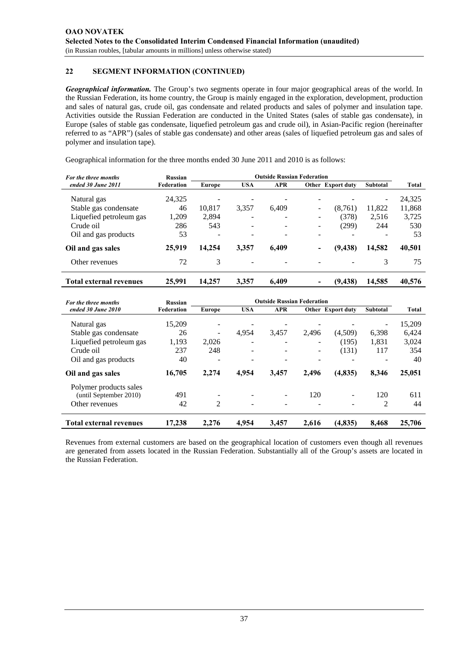*Geographical information.* The Group's two segments operate in four major geographical areas of the world. In the Russian Federation, its home country, the Group is mainly engaged in the exploration, development, production and sales of natural gas, crude oil, gas condensate and related products and sales of polymer and insulation tape. Activities outside the Russian Federation are conducted in the United States (sales of stable gas condensate), in Europe (sales of stable gas condensate, liquefied petroleum gas and crude oil), in Asian-Pacific region (hereinafter referred to as "APR") (sales of stable gas condensate) and other areas (sales of liquefied petroleum gas and sales of polymer and insulation tape).

Geographical information for the three months ended 30 June 2011 and 2010 is as follows:

| For the three months           | <b>Russian</b> | <b>Outside Russian Federation</b> |                 |            |                          |                   |                          |        |
|--------------------------------|----------------|-----------------------------------|-----------------|------------|--------------------------|-------------------|--------------------------|--------|
| ended 30 June 2011             | Federation     | Europe                            | <b>USA</b>      | <b>APR</b> |                          | Other Export duty | <b>Subtotal</b>          | Total  |
| Natural gas                    | 24,325         |                                   | ۰               |            |                          |                   | $\overline{\phantom{0}}$ | 24,325 |
| Stable gas condensate          | 46             | 10.817                            | 3,357           | 6,409      | $\overline{\phantom{0}}$ | (8,761)           | 11,822                   | 11,868 |
| Liquefied petroleum gas        | 1,209          | 2,894                             |                 |            |                          | (378)             | 2,516                    | 3,725  |
| Crude oil                      | 286            | 543                               | $\qquad \qquad$ |            |                          | (299)             | 244                      | 530    |
| Oil and gas products           | 53             | $\overline{\phantom{a}}$          | $\qquad \qquad$ | -          | -                        |                   |                          | 53     |
| Oil and gas sales              | 25,919         | 14.254                            | 3,357           | 6,409      |                          | (9, 438)          | 14,582                   | 40,501 |
| Other revenues                 | 72             | 3                                 |                 |            |                          |                   | 3                        | 75     |
| <b>Total external revenues</b> | 25,991         | 14.257                            | 3,357           | 6,409      |                          | (9, 438)          | 14,585                   | 40,576 |

| For the three months           | Russian    | <b>Outside Russian Federation</b> |                          |                          |       |                          |                 |              |
|--------------------------------|------------|-----------------------------------|--------------------------|--------------------------|-------|--------------------------|-----------------|--------------|
| ended 30 June 2010             | Federation | Europe                            | <b>USA</b>               | <b>APR</b>               |       | <b>Other</b> Export duty | <b>Subtotal</b> | <b>Total</b> |
| Natural gas                    | 15,209     |                                   |                          |                          |       |                          |                 | 15,209       |
| Stable gas condensate          | 26         | $\overline{\phantom{a}}$          | 4,954                    | 3.457                    | 2.496 | (4,509)                  | 6,398           | 6,424        |
| Liquefied petroleum gas        | 1,193      | 2,026                             |                          |                          |       | (195)                    | 1,831           | 3,024        |
| Crude oil                      | 237        | 248                               | $\overline{\phantom{a}}$ |                          |       | (131)                    | 117             | 354          |
| Oil and gas products           | 40         |                                   |                          |                          |       |                          |                 | 40           |
| Oil and gas sales              | 16,705     | 2.274                             | 4,954                    | 3,457                    | 2.496 | (4, 835)                 | 8,346           | 25,051       |
| Polymer products sales         |            |                                   |                          |                          |       |                          |                 |              |
| (until September 2010)         | 491        | ۰                                 |                          | $\overline{\phantom{a}}$ | 120   | Ξ.                       | 120             | 611          |
| Other revenues                 | 42         | 2                                 | $\overline{\phantom{a}}$ | $\overline{\phantom{a}}$ |       |                          | 2               | 44           |
| <b>Total external revenues</b> | 17.238     | 2.276                             | 4.954                    | 3.457                    | 2.616 | (4,835)                  | 8.468           | 25,706       |

Revenues from external customers are based on the geographical location of customers even though all revenues are generated from assets located in the Russian Federation. Substantially all of the Group's assets are located in the Russian Federation.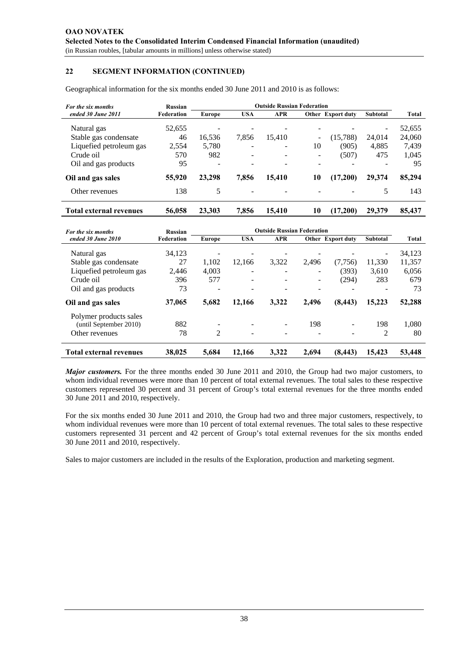Geographical information for the six months ended 30 June 2011 and 2010 is as follows:

| For the six months             | Russian    | <b>Outside Russian Federation</b> |            |            |    |                   |                          |              |
|--------------------------------|------------|-----------------------------------|------------|------------|----|-------------------|--------------------------|--------------|
| ended 30 June 2011             | Federation | Europe                            | <b>USA</b> | <b>APR</b> |    | Other Export duty | Subtotal                 | <b>Total</b> |
| Natural gas                    | 52,655     |                                   |            |            |    |                   | $\overline{\phantom{m}}$ | 52,655       |
| Stable gas condensate          | 46         | 16,536                            | 7,856      | 15.410     | -  | (15,788)          | 24,014                   | 24,060       |
| Liquefied petroleum gas        | 2,554      | 5,780                             |            | ۰          | 10 | (905)             | 4,885                    | 7,439        |
| Crude oil                      | 570        | 982                               |            |            | -  | (507)             | 475                      | 1,045        |
| Oil and gas products           | 95         | $\equiv$                          |            |            |    |                   |                          | 95           |
| Oil and gas sales              | 55,920     | 23,298                            | 7,856      | 15,410     | 10 | (17,200)          | 29,374                   | 85,294       |
| Other revenues                 | 138        | 5                                 |            |            |    |                   | 5                        | 143          |
| <b>Total external revenues</b> | 56,058     | 23.303                            | 7,856      | 15.410     | 10 | (17, 200)         | 29,379                   | 85,437       |

| For the six months             | Russian    | <b>Outside Russian Federation</b> |                          |                          |       |                   |                          |        |
|--------------------------------|------------|-----------------------------------|--------------------------|--------------------------|-------|-------------------|--------------------------|--------|
| ended 30 June 2010             | Federation | Europe                            | <b>USA</b>               | <b>APR</b>               |       | Other Export duty | <b>Subtotal</b>          | Total  |
| Natural gas                    | 34,123     |                                   |                          |                          |       |                   | $\overline{\phantom{a}}$ | 34,123 |
| Stable gas condensate          | 27         | 1.102                             | 12.166                   | 3,322                    | 2,496 | (7,756)           | 11,330                   | 11,357 |
| Liquefied petroleum gas        | 2.446      | 4.003                             | $\qquad \qquad$          | $\overline{\phantom{0}}$ | ۰     | (393)             | 3.610                    | 6,056  |
| Crude oil                      | 396        | 577                               | $\overline{\phantom{a}}$ |                          | -     | (294)             | 283                      | 679    |
| Oil and gas products           | 73         | $\overline{\phantom{a}}$          | ÷                        |                          | ۰     |                   |                          | 73     |
| Oil and gas sales              | 37,065     | 5,682                             | 12,166                   | 3,322                    | 2,496 | (8, 443)          | 15,223                   | 52,288 |
| Polymer products sales         |            |                                   |                          |                          |       |                   |                          |        |
| (until September 2010)         | 882        |                                   | $\blacksquare$           |                          | 198   |                   | 198                      | 1.080  |
| Other revenues                 | 78         | 2                                 | $\qquad \qquad$          |                          |       |                   | 2                        | 80     |
| <b>Total external revenues</b> | 38,025     | 5.684                             | 12.166                   | 3.322                    | 2.694 | (8, 443)          | 15,423                   | 53,448 |

*Major customers.* For the three months ended 30 June 2011 and 2010, the Group had two major customers, to whom individual revenues were more than 10 percent of total external revenues. The total sales to these respective customers represented 30 percent and 31 percent of Group's total external revenues for the three months ended 30 June 2011 and 2010, respectively.

For the six months ended 30 June 2011 and 2010, the Group had two and three major customers, respectively, to whom individual revenues were more than 10 percent of total external revenues. The total sales to these respective customers represented 31 percent and 42 percent of Group's total external revenues for the six months ended 30 June 2011 and 2010, respectively.

Sales to major customers are included in the results of the Exploration, production and marketing segment.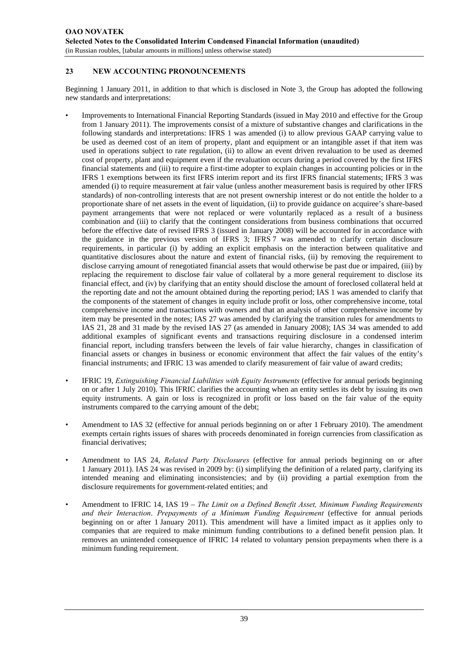# **23 NEW ACCOUNTING PRONOUNCEMENTS**

Beginning 1 January 2011, in addition to that which is disclosed in Note 3, the Group has adopted the following new standards and interpretations:

- Improvements to International Financial Reporting Standards (issued in May 2010 and effective for the Group from 1 January 2011). The improvements consist of a mixture of substantive changes and clarifications in the following standards and interpretations: IFRS 1 was amended (i) to allow previous GAAP carrying value to be used as deemed cost of an item of property, plant and equipment or an intangible asset if that item was used in operations subject to rate regulation, (ii) to allow an event driven revaluation to be used as deemed cost of property, plant and equipment even if the revaluation occurs during a period covered by the first IFRS financial statements and (iii) to require a first-time adopter to explain changes in accounting policies or in the IFRS 1 exemptions between its first IFRS interim report and its first IFRS financial statements; IFRS 3 was amended (i) to require measurement at fair value (unless another measurement basis is required by other IFRS standards) of non-controlling interests that are not present ownership interest or do not entitle the holder to a proportionate share of net assets in the event of liquidation, (ii) to provide guidance on acquiree's share-based payment arrangements that were not replaced or were voluntarily replaced as a result of a business combination and (iii) to clarify that the contingent considerations from business combinations that occurred before the effective date of revised IFRS 3 (issued in January 2008) will be accounted for in accordance with the guidance in the previous version of IFRS 3; IFRS 7 was amended to clarify certain disclosure requirements, in particular (i) by adding an explicit emphasis on the interaction between qualitative and quantitative disclosures about the nature and extent of financial risks, (ii) by removing the requirement to disclose carrying amount of renegotiated financial assets that would otherwise be past due or impaired, (iii) by replacing the requirement to disclose fair value of collateral by a more general requirement to disclose its financial effect, and (iv) by clarifying that an entity should disclose the amount of foreclosed collateral held at the reporting date and not the amount obtained during the reporting period; IAS 1 was amended to clarify that the components of the statement of changes in equity include profit or loss, other comprehensive income, total comprehensive income and transactions with owners and that an analysis of other comprehensive income by item may be presented in the notes; IAS 27 was amended by clarifying the transition rules for amendments to IAS 21, 28 and 31 made by the revised IAS 27 (as amended in January 2008); IAS 34 was amended to add additional examples of significant events and transactions requiring disclosure in a condensed interim financial report, including transfers between the levels of fair value hierarchy, changes in classification of financial assets or changes in business or economic environment that affect the fair values of the entity's financial instruments; and IFRIC 13 was amended to clarify measurement of fair value of award credits;
- IFRIC 19, *Extinguishing Financial Liabilities with Equity Instruments* (effective for annual periods beginning on or after 1 July 2010). This IFRIC clarifies the accounting when an entity settles its debt by issuing its own equity instruments. A gain or loss is recognized in profit or loss based on the fair value of the equity instruments compared to the carrying amount of the debt;
- Amendment to IAS 32 (effective for annual periods beginning on or after 1 February 2010). The amendment exempts certain rights issues of shares with proceeds denominated in foreign currencies from classification as financial derivatives;
- Amendment to IAS 24, *Related Party Disclosures* (effective for annual periods beginning on or after 1 January 2011). IAS 24 was revised in 2009 by: (i) simplifying the definition of a related party, clarifying its intended meaning and eliminating inconsistencies; and by (ii) providing a partial exemption from the disclosure requirements for government-related entities; and
- Amendment to IFRIC 14, IAS 19 *The Limit on a Defined Benefit Asset, Minimum Funding Requirements and their Interaction*. *Prepayments of a Minimum Funding Requirement* (effective for annual periods beginning on or after 1 January 2011). This amendment will have a limited impact as it applies only to companies that are required to make minimum funding contributions to a defined benefit pension plan. It removes an unintended consequence of IFRIC 14 related to voluntary pension prepayments when there is a minimum funding requirement.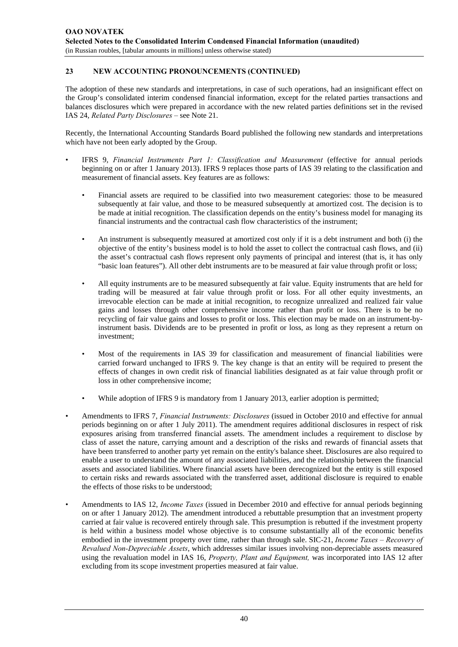# **23 NEW ACCOUNTING PRONOUNCEMENTS (CONTINUED)**

The adoption of these new standards and interpretations, in case of such operations, had an insignificant effect on the Group's consolidated interim condensed financial information, except for the related parties transactions and balances disclosures which were prepared in accordance with the new related parties definitions set in the revised IAS 24, *Related Party Disclosures –* see Note 21.

Recently, the International Accounting Standards Board published the following new standards and interpretations which have not been early adopted by the Group.

- IFRS 9, *Financial Instruments Part 1: Classification and Measurement* (effective for annual periods beginning on or after 1 January 2013). IFRS 9 replaces those parts of IAS 39 relating to the classification and measurement of financial assets. Key features are as follows:
	- Financial assets are required to be classified into two measurement categories: those to be measured subsequently at fair value, and those to be measured subsequently at amortized cost. The decision is to be made at initial recognition. The classification depends on the entity's business model for managing its financial instruments and the contractual cash flow characteristics of the instrument;
	- An instrument is subsequently measured at amortized cost only if it is a debt instrument and both (i) the objective of the entity's business model is to hold the asset to collect the contractual cash flows, and (ii) the asset's contractual cash flows represent only payments of principal and interest (that is, it has only "basic loan features"). All other debt instruments are to be measured at fair value through profit or loss;
	- All equity instruments are to be measured subsequently at fair value. Equity instruments that are held for trading will be measured at fair value through profit or loss. For all other equity investments, an irrevocable election can be made at initial recognition, to recognize unrealized and realized fair value gains and losses through other comprehensive income rather than profit or loss. There is to be no recycling of fair value gains and losses to profit or loss. This election may be made on an instrument-byinstrument basis. Dividends are to be presented in profit or loss, as long as they represent a return on investment;
	- Most of the requirements in IAS 39 for classification and measurement of financial liabilities were carried forward unchanged to IFRS 9. The key change is that an entity will be required to present the effects of changes in own credit risk of financial liabilities designated as at fair value through profit or loss in other comprehensive income;
	- While adoption of IFRS 9 is mandatory from 1 January 2013, earlier adoption is permitted;
- Amendments to IFRS 7, *Financial Instruments: Disclosures* (issued in October 2010 and effective for annual periods beginning on or after 1 July 2011). The amendment requires additional disclosures in respect of risk exposures arising from transferred financial assets. The amendment includes a requirement to disclose by class of asset the nature, carrying amount and a description of the risks and rewards of financial assets that have been transferred to another party yet remain on the entity's balance sheet. Disclosures are also required to enable a user to understand the amount of any associated liabilities, and the relationship between the financial assets and associated liabilities. Where financial assets have been derecognized but the entity is still exposed to certain risks and rewards associated with the transferred asset, additional disclosure is required to enable the effects of those risks to be understood;
- Amendments to IAS 12, *Income Taxes* (issued in December 2010 and effective for annual periods beginning on or after 1 January 2012). The amendment introduced a rebuttable presumption that an investment property carried at fair value is recovered entirely through sale. This presumption is rebutted if the investment property is held within a business model whose objective is to consume substantially all of the economic benefits embodied in the investment property over time, rather than through sale. SIC-21, *Income Taxes – Recovery of Revalued Non-Depreciable Assets*, which addresses similar issues involving non-depreciable assets measured using the revaluation model in IAS 16, *Property, Plant and Equipment,* was incorporated into IAS 12 after excluding from its scope investment properties measured at fair value.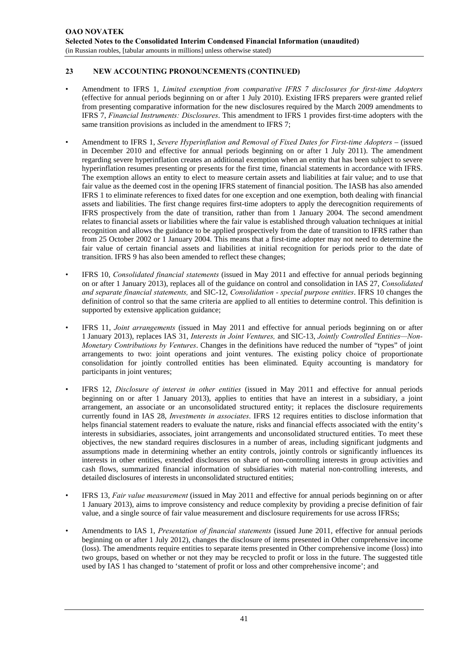# **23 NEW ACCOUNTING PRONOUNCEMENTS (CONTINUED)**

- Amendment to IFRS 1, *Limited exemption from comparative IFRS 7 disclosures for first-time Adopters* (effective for annual periods beginning on or after 1 July 2010). Existing IFRS preparers were granted relief from presenting comparative information for the new disclosures required by the March 2009 amendments to IFRS 7, *Financial Instruments: Disclosures*. This amendment to IFRS 1 provides first-time adopters with the same transition provisions as included in the amendment to IFRS 7;
- Amendment to IFRS 1, *Severe Hyperinflation and Removal of Fixed Dates for First-time Adopters* (issued in December 2010 and effective for annual periods beginning on or after 1 July 2011). The amendment regarding severe hyperinflation creates an additional exemption when an entity that has been subject to severe hyperinflation resumes presenting or presents for the first time, financial statements in accordance with IFRS. The exemption allows an entity to elect to measure certain assets and liabilities at fair value; and to use that fair value as the deemed cost in the opening IFRS statement of financial position. The IASB has also amended IFRS 1 to eliminate references to fixed dates for one exception and one exemption, both dealing with financial assets and liabilities. The first change requires first-time adopters to apply the derecognition requirements of IFRS prospectively from the date of transition, rather than from 1 January 2004. The second amendment relates to financial assets or liabilities where the fair value is established through valuation techniques at initial recognition and allows the guidance to be applied prospectively from the date of transition to IFRS rather than from 25 October 2002 or 1 January 2004. This means that a first-time adopter may not need to determine the fair value of certain financial assets and liabilities at initial recognition for periods prior to the date of transition. IFRS 9 has also been amended to reflect these changes;
- IFRS 10, *Consolidated financial statements* (issued in May 2011 and effective for annual periods beginning on or after 1 January 2013), replaces all of the guidance on control and consolidation in IAS 27, *Consolidated and separate financial statements,* and SIC-12, *Consolidation - special purpose entities*. IFRS 10 changes the definition of control so that the same criteria are applied to all entities to determine control. This definition is supported by extensive application guidance;
- IFRS 11, *Joint arrangements* (issued in May 2011 and effective for annual periods beginning on or after 1 January 2013), replaces IAS 31, *Interests in Joint Ventures,* and SIC-13, *Jointly Controlled Entities—Non-Monetary Contributions by Ventures*. Changes in the definitions have reduced the number of "types" of joint arrangements to two: joint operations and joint ventures. The existing policy choice of proportionate consolidation for jointly controlled entities has been eliminated. Equity accounting is mandatory for participants in joint ventures;
- IFRS 12, *Disclosure of interest in other entities* (issued in May 2011 and effective for annual periods beginning on or after 1 January 2013), applies to entities that have an interest in a subsidiary, a joint arrangement, an associate or an unconsolidated structured entity; it replaces the disclosure requirements currently found in IAS 28, *Investments in associates*. IFRS 12 requires entities to disclose information that helps financial statement readers to evaluate the nature, risks and financial effects associated with the entity's interests in subsidiaries, associates, joint arrangements and unconsolidated structured entities. To meet these objectives, the new standard requires disclosures in a number of areas, including significant judgments and assumptions made in determining whether an entity controls, jointly controls or significantly influences its interests in other entities, extended disclosures on share of non-controlling interests in group activities and cash flows, summarized financial information of subsidiaries with material non-controlling interests, and detailed disclosures of interests in unconsolidated structured entities;
- IFRS 13, *Fair value measurement* (issued in May 2011 and effective for annual periods beginning on or after 1 January 2013), aims to improve consistency and reduce complexity by providing a precise definition of fair value, and a single source of fair value measurement and disclosure requirements for use across IFRSs;
- Amendments to IAS 1, *Presentation of financial statements* (issued June 2011, effective for annual periods beginning on or after 1 July 2012), changes the disclosure of items presented in Other comprehensive income (loss). The amendments require entities to separate items presented in Other comprehensive income (loss) into two groups, based on whether or not they may be recycled to profit or loss in the future. The suggested title used by IAS 1 has changed to 'statement of profit or loss and other comprehensive income'; and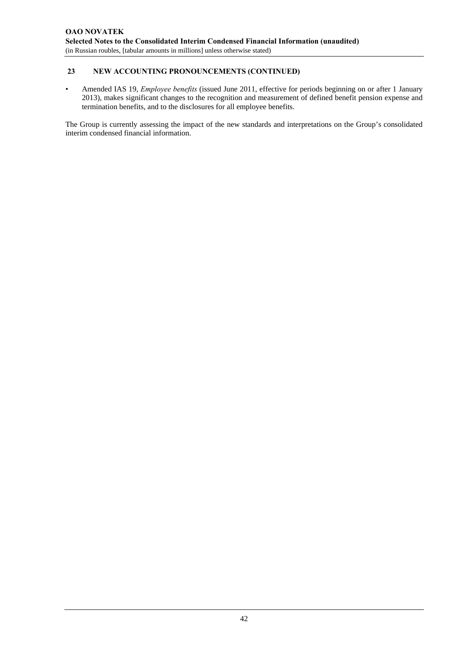# **23 NEW ACCOUNTING PRONOUNCEMENTS (CONTINUED)**

• Amended IAS 19, *Employee benefits* (issued June 2011, effective for periods beginning on or after 1 January 2013), makes significant changes to the recognition and measurement of defined benefit pension expense and termination benefits, and to the disclosures for all employee benefits.

The Group is currently assessing the impact of the new standards and interpretations on the Group's consolidated interim condensed financial information.